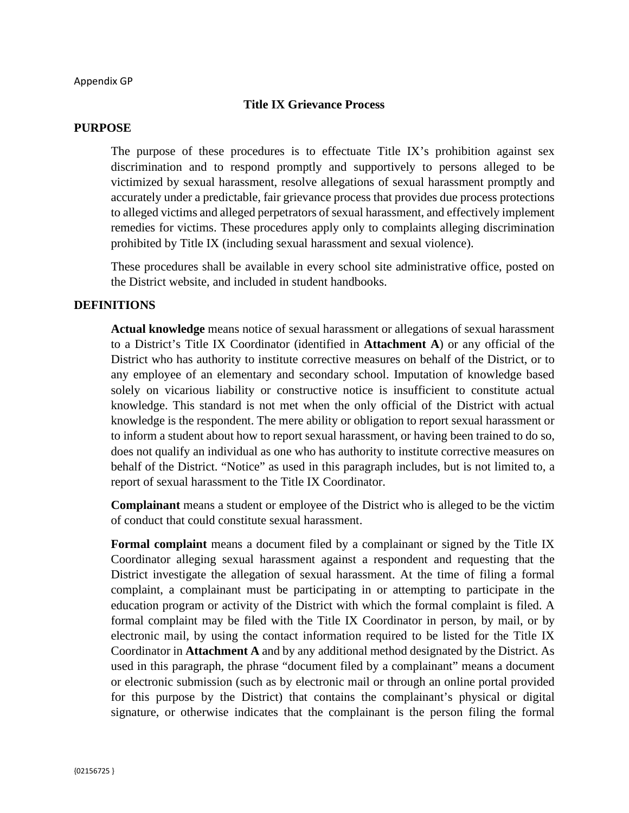### **Title IX Grievance Process**

#### **PURPOSE**

The purpose of these procedures is to effectuate Title IX's prohibition against sex discrimination and to respond promptly and supportively to persons alleged to be victimized by sexual harassment, resolve allegations of sexual harassment promptly and accurately under a predictable, fair grievance process that provides due process protections to alleged victims and alleged perpetrators of sexual harassment, and effectively implement remedies for victims. These procedures apply only to complaints alleging discrimination prohibited by Title IX (including sexual harassment and sexual violence).

These procedures shall be available in every school site administrative office, posted on the District website, and included in student handbooks.

### **DEFINITIONS**

**Actual knowledge** means notice of sexual harassment or allegations of sexual harassment to a District's Title IX Coordinator (identified in **Attachment A**) or any official of the District who has authority to institute corrective measures on behalf of the District, or to any employee of an elementary and secondary school. Imputation of knowledge based solely on vicarious liability or constructive notice is insufficient to constitute actual knowledge. This standard is not met when the only official of the District with actual knowledge is the respondent. The mere ability or obligation to report sexual harassment or to inform a student about how to report sexual harassment, or having been trained to do so, does not qualify an individual as one who has authority to institute corrective measures on behalf of the District. "Notice" as used in this paragraph includes, but is not limited to, a report of sexual harassment to the Title IX Coordinator.

**Complainant** means a student or employee of the District who is alleged to be the victim of conduct that could constitute sexual harassment.

**Formal complaint** means a document filed by a complainant or signed by the Title IX Coordinator alleging sexual harassment against a respondent and requesting that the District investigate the allegation of sexual harassment. At the time of filing a formal complaint, a complainant must be participating in or attempting to participate in the education program or activity of the District with which the formal complaint is filed. A formal complaint may be filed with the Title IX Coordinator in person, by mail, or by electronic mail, by using the contact information required to be listed for the Title IX Coordinator in **Attachment A** and by any additional method designated by the District. As used in this paragraph, the phrase "document filed by a complainant" means a document or electronic submission (such as by electronic mail or through an online portal provided for this purpose by the District) that contains the complainant's physical or digital signature, or otherwise indicates that the complainant is the person filing the formal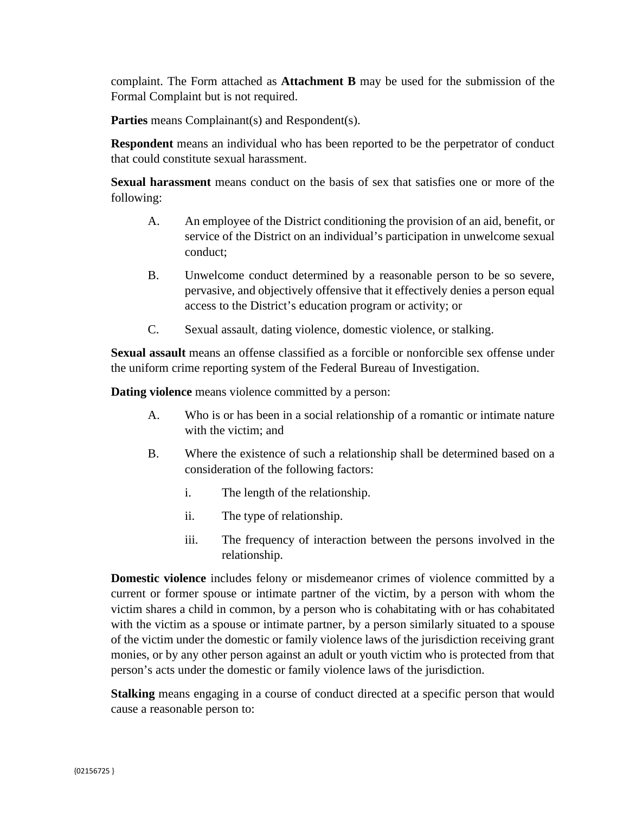complaint. The Form attached as **Attachment B** may be used for the submission of the Formal Complaint but is not required.

Parties means Complainant(s) and Respondent(s).

**Respondent** means an individual who has been reported to be the perpetrator of conduct that could constitute sexual harassment.

**Sexual harassment** means conduct on the basis of sex that satisfies one or more of the following:

- A. An employee of the District conditioning the provision of an aid, benefit, or service of the District on an individual's participation in unwelcome sexual conduct;
- B. Unwelcome conduct determined by a reasonable person to be so severe, pervasive, and objectively offensive that it effectively denies a person equal access to the District's education program or activity; or
- C. Sexual assault, dating violence, domestic violence, or stalking.

**Sexual assault** means an offense classified as a forcible or nonforcible sex offense under the uniform crime reporting system of the Federal Bureau of Investigation.

**Dating violence** means violence committed by a person:

- A. Who is or has been in a social relationship of a romantic or intimate nature with the victim; and
- B. Where the existence of such a relationship shall be determined based on a consideration of the following factors:
	- i. The length of the relationship.
	- ii. The type of relationship.
	- iii. The frequency of interaction between the persons involved in the relationship.

**Domestic violence** includes felony or misdemeanor crimes of violence committed by a current or former spouse or intimate partner of the victim, by a person with whom the victim shares a child in common, by a person who is cohabitating with or has cohabitated with the victim as a spouse or intimate partner, by a person similarly situated to a spouse of the victim under the domestic or family violence laws of the jurisdiction receiving grant monies, or by any other person against an adult or youth victim who is protected from that person's acts under the domestic or family violence laws of the jurisdiction.

**Stalking** means engaging in a course of conduct directed at a specific person that would cause a reasonable person to: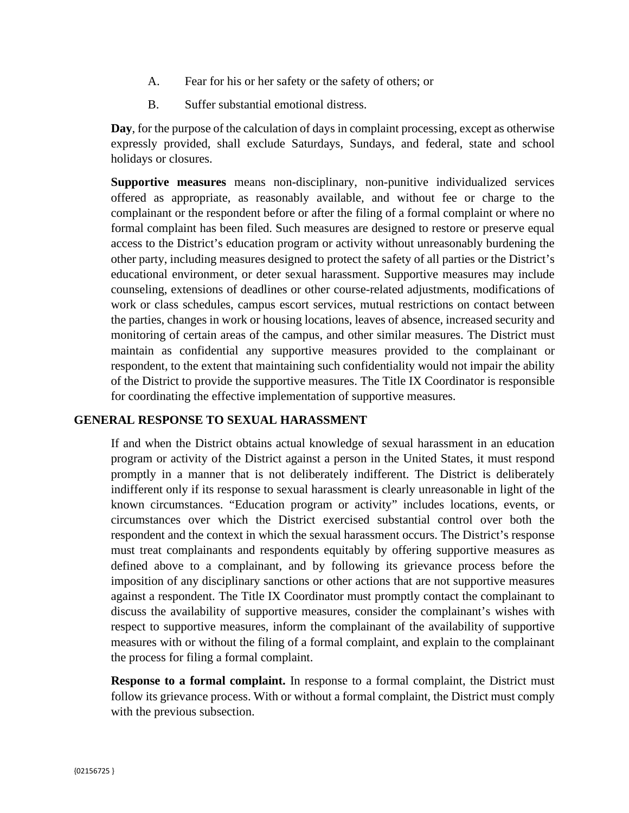- A. Fear for his or her safety or the safety of others; or
- B. Suffer substantial emotional distress.

**Day**, for the purpose of the calculation of days in complaint processing, except as otherwise expressly provided, shall exclude Saturdays, Sundays, and federal, state and school holidays or closures.

**Supportive measures** means non-disciplinary, non-punitive individualized services offered as appropriate, as reasonably available, and without fee or charge to the complainant or the respondent before or after the filing of a formal complaint or where no formal complaint has been filed. Such measures are designed to restore or preserve equal access to the District's education program or activity without unreasonably burdening the other party, including measures designed to protect the safety of all parties or the District's educational environment, or deter sexual harassment. Supportive measures may include counseling, extensions of deadlines or other course-related adjustments, modifications of work or class schedules, campus escort services, mutual restrictions on contact between the parties, changes in work or housing locations, leaves of absence, increased security and monitoring of certain areas of the campus, and other similar measures. The District must maintain as confidential any supportive measures provided to the complainant or respondent, to the extent that maintaining such confidentiality would not impair the ability of the District to provide the supportive measures. The Title IX Coordinator is responsible for coordinating the effective implementation of supportive measures.

## **GENERAL RESPONSE TO SEXUAL HARASSMENT**

If and when the District obtains actual knowledge of sexual harassment in an education program or activity of the District against a person in the United States, it must respond promptly in a manner that is not deliberately indifferent. The District is deliberately indifferent only if its response to sexual harassment is clearly unreasonable in light of the known circumstances. "Education program or activity" includes locations, events, or circumstances over which the District exercised substantial control over both the respondent and the context in which the sexual harassment occurs. The District's response must treat complainants and respondents equitably by offering supportive measures as defined above to a complainant, and by following its grievance process before the imposition of any disciplinary sanctions or other actions that are not supportive measures against a respondent. The Title IX Coordinator must promptly contact the complainant to discuss the availability of supportive measures, consider the complainant's wishes with respect to supportive measures, inform the complainant of the availability of supportive measures with or without the filing of a formal complaint, and explain to the complainant the process for filing a formal complaint.

**Response to a formal complaint.** In response to a formal complaint, the District must follow its grievance process. With or without a formal complaint, the District must comply with the previous subsection.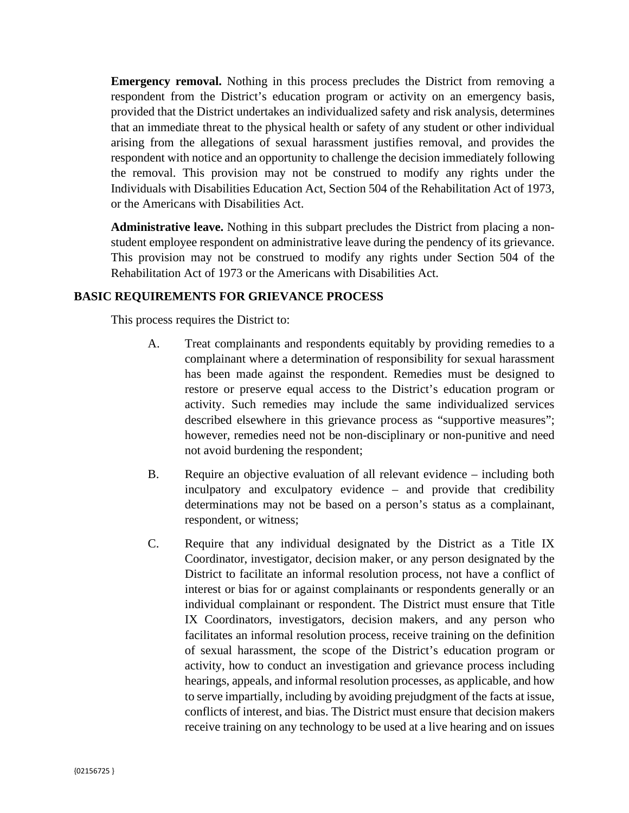**Emergency removal.** Nothing in this process precludes the District from removing a respondent from the District's education program or activity on an emergency basis, provided that the District undertakes an individualized safety and risk analysis, determines that an immediate threat to the physical health or safety of any student or other individual arising from the allegations of sexual harassment justifies removal, and provides the respondent with notice and an opportunity to challenge the decision immediately following the removal. This provision may not be construed to modify any rights under the Individuals with Disabilities Education Act, Section 504 of the Rehabilitation Act of 1973, or the Americans with Disabilities Act.

**Administrative leave.** Nothing in this subpart precludes the District from placing a nonstudent employee respondent on administrative leave during the pendency of its grievance. This provision may not be construed to modify any rights under Section 504 of the Rehabilitation Act of 1973 or the Americans with Disabilities Act.

# **BASIC REQUIREMENTS FOR GRIEVANCE PROCESS**

This process requires the District to:

- A. Treat complainants and respondents equitably by providing remedies to a complainant where a determination of responsibility for sexual harassment has been made against the respondent. Remedies must be designed to restore or preserve equal access to the District's education program or activity. Such remedies may include the same individualized services described elsewhere in this grievance process as "supportive measures"; however, remedies need not be non-disciplinary or non-punitive and need not avoid burdening the respondent;
- B. Require an objective evaluation of all relevant evidence including both inculpatory and exculpatory evidence – and provide that credibility determinations may not be based on a person's status as a complainant, respondent, or witness;
- C. Require that any individual designated by the District as a Title IX Coordinator, investigator, decision maker, or any person designated by the District to facilitate an informal resolution process, not have a conflict of interest or bias for or against complainants or respondents generally or an individual complainant or respondent. The District must ensure that Title IX Coordinators, investigators, decision makers, and any person who facilitates an informal resolution process, receive training on the definition of sexual harassment, the scope of the District's education program or activity, how to conduct an investigation and grievance process including hearings, appeals, and informal resolution processes, as applicable, and how to serve impartially, including by avoiding prejudgment of the facts at issue, conflicts of interest, and bias. The District must ensure that decision makers receive training on any technology to be used at a live hearing and on issues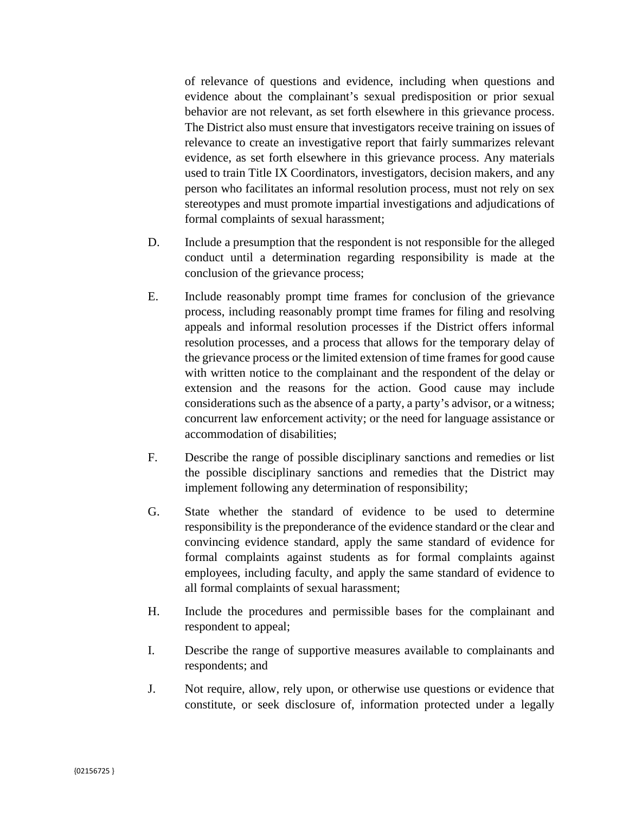of relevance of questions and evidence, including when questions and evidence about the complainant's sexual predisposition or prior sexual behavior are not relevant, as set forth elsewhere in this grievance process. The District also must ensure that investigators receive training on issues of relevance to create an investigative report that fairly summarizes relevant evidence, as set forth elsewhere in this grievance process. Any materials used to train Title IX Coordinators, investigators, decision makers, and any person who facilitates an informal resolution process, must not rely on sex stereotypes and must promote impartial investigations and adjudications of formal complaints of sexual harassment;

- D. Include a presumption that the respondent is not responsible for the alleged conduct until a determination regarding responsibility is made at the conclusion of the grievance process;
- E. Include reasonably prompt time frames for conclusion of the grievance process, including reasonably prompt time frames for filing and resolving appeals and informal resolution processes if the District offers informal resolution processes, and a process that allows for the temporary delay of the grievance process or the limited extension of time frames for good cause with written notice to the complainant and the respondent of the delay or extension and the reasons for the action. Good cause may include considerations such as the absence of a party, a party's advisor, or a witness; concurrent law enforcement activity; or the need for language assistance or accommodation of disabilities;
- F. Describe the range of possible disciplinary sanctions and remedies or list the possible disciplinary sanctions and remedies that the District may implement following any determination of responsibility;
- G. State whether the standard of evidence to be used to determine responsibility is the preponderance of the evidence standard or the clear and convincing evidence standard, apply the same standard of evidence for formal complaints against students as for formal complaints against employees, including faculty, and apply the same standard of evidence to all formal complaints of sexual harassment;
- H. Include the procedures and permissible bases for the complainant and respondent to appeal;
- I. Describe the range of supportive measures available to complainants and respondents; and
- J. Not require, allow, rely upon, or otherwise use questions or evidence that constitute, or seek disclosure of, information protected under a legally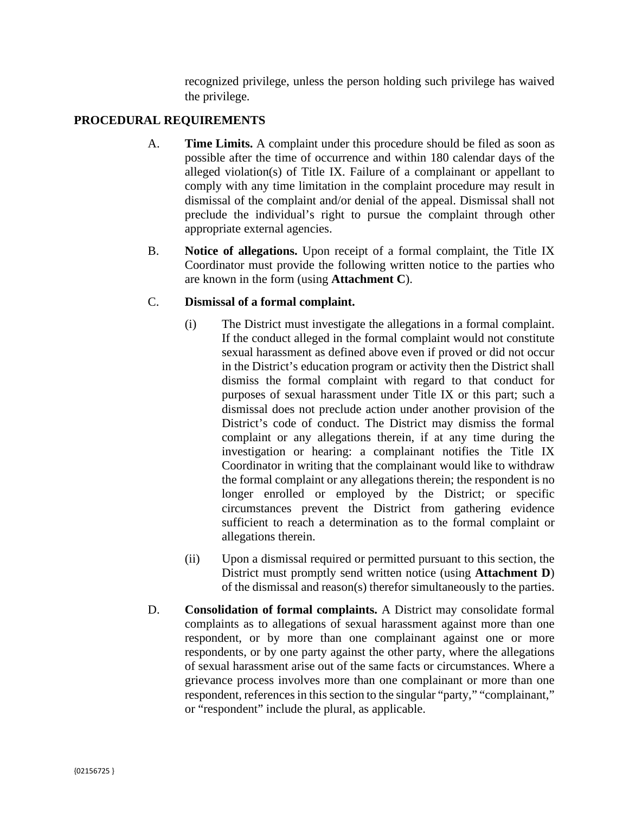recognized privilege, unless the person holding such privilege has waived the privilege.

# **PROCEDURAL REQUIREMENTS**

- A. **Time Limits.** A complaint under this procedure should be filed as soon as possible after the time of occurrence and within 180 calendar days of the alleged violation(s) of Title IX. Failure of a complainant or appellant to comply with any time limitation in the complaint procedure may result in dismissal of the complaint and/or denial of the appeal. Dismissal shall not preclude the individual's right to pursue the complaint through other appropriate external agencies.
- B. **Notice of allegations.** Upon receipt of a formal complaint, the Title IX Coordinator must provide the following written notice to the parties who are known in the form (using **Attachment C**).

## C. **Dismissal of a formal complaint.**

- (i) The District must investigate the allegations in a formal complaint. If the conduct alleged in the formal complaint would not constitute sexual harassment as defined above even if proved or did not occur in the District's education program or activity then the District shall dismiss the formal complaint with regard to that conduct for purposes of sexual harassment under Title IX or this part; such a dismissal does not preclude action under another provision of the District's code of conduct. The District may dismiss the formal complaint or any allegations therein, if at any time during the investigation or hearing: a complainant notifies the Title IX Coordinator in writing that the complainant would like to withdraw the formal complaint or any allegations therein; the respondent is no longer enrolled or employed by the District; or specific circumstances prevent the District from gathering evidence sufficient to reach a determination as to the formal complaint or allegations therein.
- (ii) Upon a dismissal required or permitted pursuant to this section, the District must promptly send written notice (using **Attachment D**) of the dismissal and reason(s) therefor simultaneously to the parties.
- D. **Consolidation of formal complaints.** A District may consolidate formal complaints as to allegations of sexual harassment against more than one respondent, or by more than one complainant against one or more respondents, or by one party against the other party, where the allegations of sexual harassment arise out of the same facts or circumstances. Where a grievance process involves more than one complainant or more than one respondent, references in this section to the singular "party," "complainant," or "respondent" include the plural, as applicable.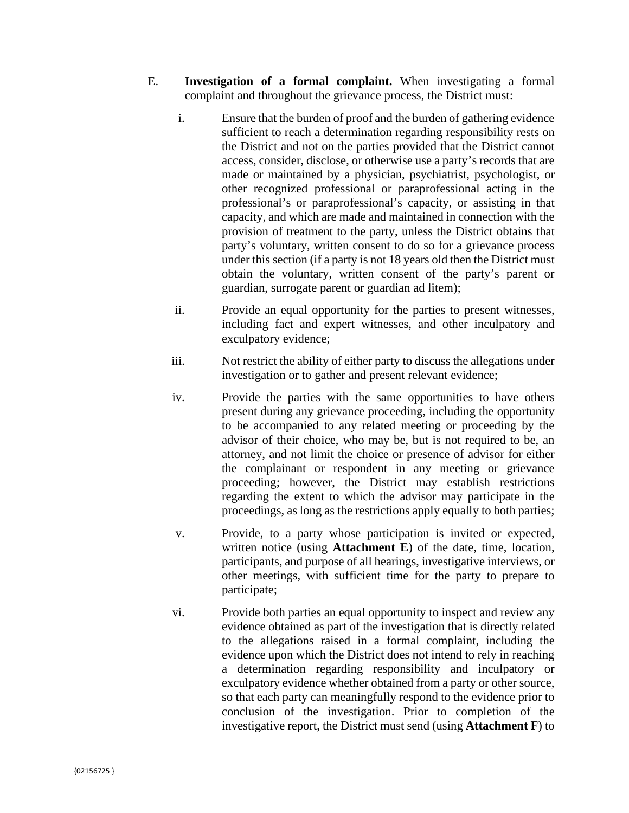- E. **Investigation of a formal complaint.** When investigating a formal complaint and throughout the grievance process, the District must:
	- i. Ensure that the burden of proof and the burden of gathering evidence sufficient to reach a determination regarding responsibility rests on the District and not on the parties provided that the District cannot access, consider, disclose, or otherwise use a party's records that are made or maintained by a physician, psychiatrist, psychologist, or other recognized professional or paraprofessional acting in the professional's or paraprofessional's capacity, or assisting in that capacity, and which are made and maintained in connection with the provision of treatment to the party, unless the District obtains that party's voluntary, written consent to do so for a grievance process under this section (if a party is not 18 years old then the District must obtain the voluntary, written consent of the party's parent or guardian, surrogate parent or guardian ad litem);
	- ii. Provide an equal opportunity for the parties to present witnesses, including fact and expert witnesses, and other inculpatory and exculpatory evidence;
	- iii. Not restrict the ability of either party to discuss the allegations under investigation or to gather and present relevant evidence;
	- iv. Provide the parties with the same opportunities to have others present during any grievance proceeding, including the opportunity to be accompanied to any related meeting or proceeding by the advisor of their choice, who may be, but is not required to be, an attorney, and not limit the choice or presence of advisor for either the complainant or respondent in any meeting or grievance proceeding; however, the District may establish restrictions regarding the extent to which the advisor may participate in the proceedings, as long as the restrictions apply equally to both parties;
	- v. Provide, to a party whose participation is invited or expected, written notice (using **Attachment E**) of the date, time, location, participants, and purpose of all hearings, investigative interviews, or other meetings, with sufficient time for the party to prepare to participate;
	- vi. Provide both parties an equal opportunity to inspect and review any evidence obtained as part of the investigation that is directly related to the allegations raised in a formal complaint, including the evidence upon which the District does not intend to rely in reaching a determination regarding responsibility and inculpatory or exculpatory evidence whether obtained from a party or other source, so that each party can meaningfully respond to the evidence prior to conclusion of the investigation. Prior to completion of the investigative report, the District must send (using **Attachment F**) to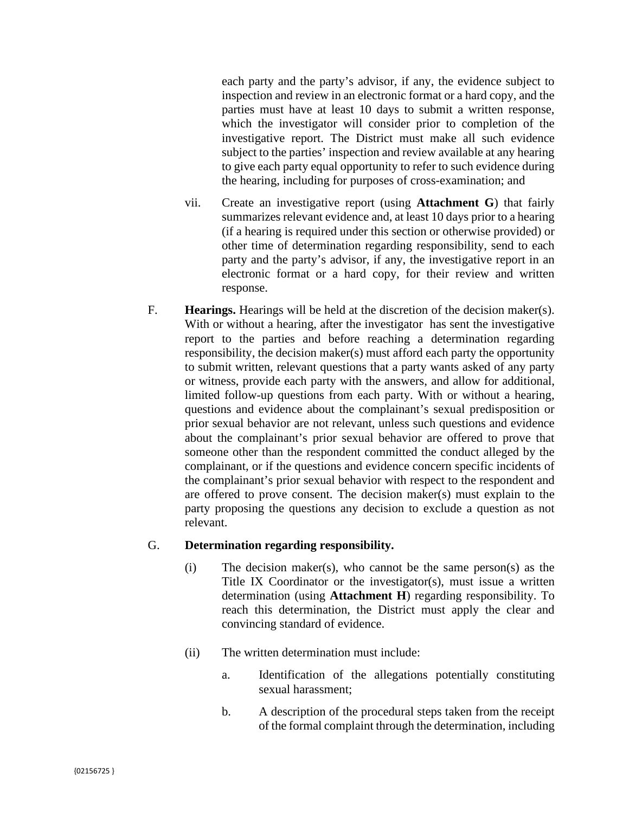each party and the party's advisor, if any, the evidence subject to inspection and review in an electronic format or a hard copy, and the parties must have at least 10 days to submit a written response, which the investigator will consider prior to completion of the investigative report. The District must make all such evidence subject to the parties' inspection and review available at any hearing to give each party equal opportunity to refer to such evidence during the hearing, including for purposes of cross-examination; and

- vii. Create an investigative report (using **Attachment G**) that fairly summarizes relevant evidence and, at least 10 days prior to a hearing (if a hearing is required under this section or otherwise provided) or other time of determination regarding responsibility, send to each party and the party's advisor, if any, the investigative report in an electronic format or a hard copy, for their review and written response.
- F. **Hearings.** Hearings will be held at the discretion of the decision maker(s). With or without a hearing, after the investigator has sent the investigative report to the parties and before reaching a determination regarding responsibility, the decision maker(s) must afford each party the opportunity to submit written, relevant questions that a party wants asked of any party or witness, provide each party with the answers, and allow for additional, limited follow-up questions from each party. With or without a hearing, questions and evidence about the complainant's sexual predisposition or prior sexual behavior are not relevant, unless such questions and evidence about the complainant's prior sexual behavior are offered to prove that someone other than the respondent committed the conduct alleged by the complainant, or if the questions and evidence concern specific incidents of the complainant's prior sexual behavior with respect to the respondent and are offered to prove consent. The decision maker(s) must explain to the party proposing the questions any decision to exclude a question as not relevant.

### G. **Determination regarding responsibility.**

- (i) The decision maker(s), who cannot be the same person(s) as the Title IX Coordinator or the investigator(s), must issue a written determination (using **Attachment H**) regarding responsibility. To reach this determination, the District must apply the clear and convincing standard of evidence.
- (ii) The written determination must include:
	- a. Identification of the allegations potentially constituting sexual harassment;
	- b. A description of the procedural steps taken from the receipt of the formal complaint through the determination, including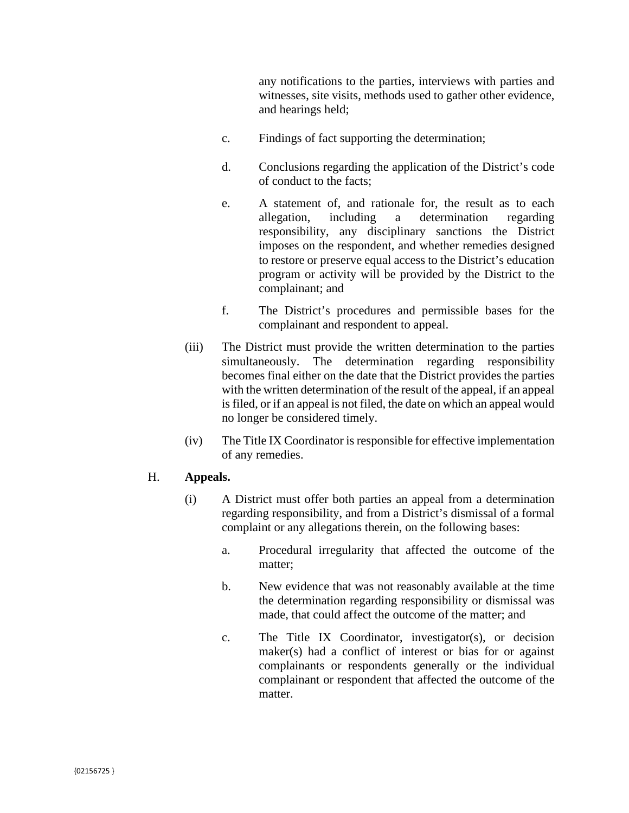any notifications to the parties, interviews with parties and witnesses, site visits, methods used to gather other evidence, and hearings held;

- c. Findings of fact supporting the determination;
- d. Conclusions regarding the application of the District's code of conduct to the facts;
- e. A statement of, and rationale for, the result as to each allegation, including a determination regarding responsibility, any disciplinary sanctions the District imposes on the respondent, and whether remedies designed to restore or preserve equal access to the District's education program or activity will be provided by the District to the complainant; and
- f. The District's procedures and permissible bases for the complainant and respondent to appeal.
- (iii) The District must provide the written determination to the parties simultaneously. The determination regarding responsibility becomes final either on the date that the District provides the parties with the written determination of the result of the appeal, if an appeal is filed, or if an appeal is not filed, the date on which an appeal would no longer be considered timely.
- (iv) The Title IX Coordinator is responsible for effective implementation of any remedies.

### H. **Appeals.**

- (i) A District must offer both parties an appeal from a determination regarding responsibility, and from a District's dismissal of a formal complaint or any allegations therein, on the following bases:
	- a. Procedural irregularity that affected the outcome of the matter:
	- b. New evidence that was not reasonably available at the time the determination regarding responsibility or dismissal was made, that could affect the outcome of the matter; and
	- c. The Title IX Coordinator, investigator(s), or decision maker(s) had a conflict of interest or bias for or against complainants or respondents generally or the individual complainant or respondent that affected the outcome of the matter.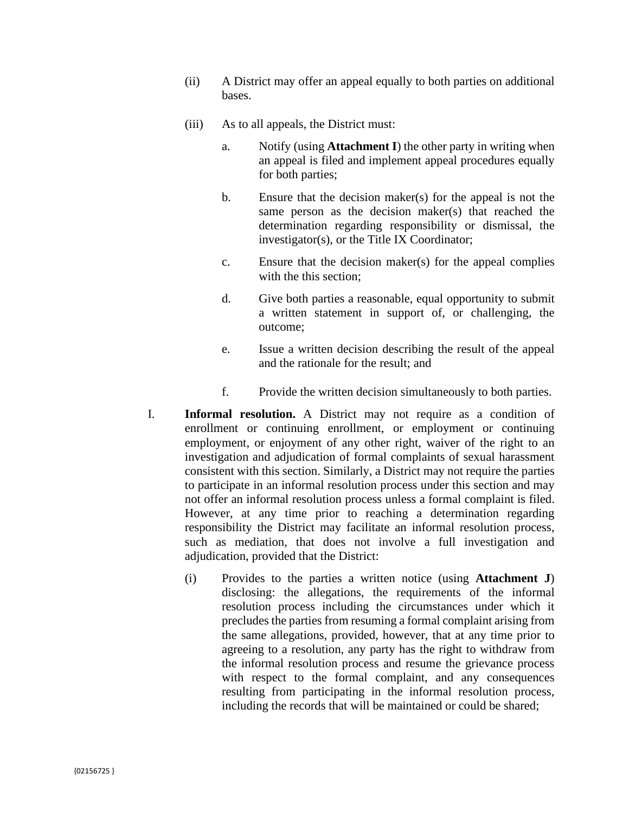- (ii) A District may offer an appeal equally to both parties on additional bases.
- (iii) As to all appeals, the District must:
	- a. Notify (using **Attachment I**) the other party in writing when an appeal is filed and implement appeal procedures equally for both parties;
	- b. Ensure that the decision maker(s) for the appeal is not the same person as the decision maker(s) that reached the determination regarding responsibility or dismissal, the investigator(s), or the Title IX Coordinator;
	- c. Ensure that the decision maker(s) for the appeal complies with the this section;
	- d. Give both parties a reasonable, equal opportunity to submit a written statement in support of, or challenging, the outcome;
	- e. Issue a written decision describing the result of the appeal and the rationale for the result; and
	- f. Provide the written decision simultaneously to both parties.
- I. **Informal resolution.** A District may not require as a condition of enrollment or continuing enrollment, or employment or continuing employment, or enjoyment of any other right, waiver of the right to an investigation and adjudication of formal complaints of sexual harassment consistent with this section. Similarly, a District may not require the parties to participate in an informal resolution process under this section and may not offer an informal resolution process unless a formal complaint is filed. However, at any time prior to reaching a determination regarding responsibility the District may facilitate an informal resolution process, such as mediation, that does not involve a full investigation and adjudication, provided that the District:
	- (i) Provides to the parties a written notice (using **Attachment J**) disclosing: the allegations, the requirements of the informal resolution process including the circumstances under which it precludes the parties from resuming a formal complaint arising from the same allegations, provided, however, that at any time prior to agreeing to a resolution, any party has the right to withdraw from the informal resolution process and resume the grievance process with respect to the formal complaint, and any consequences resulting from participating in the informal resolution process, including the records that will be maintained or could be shared;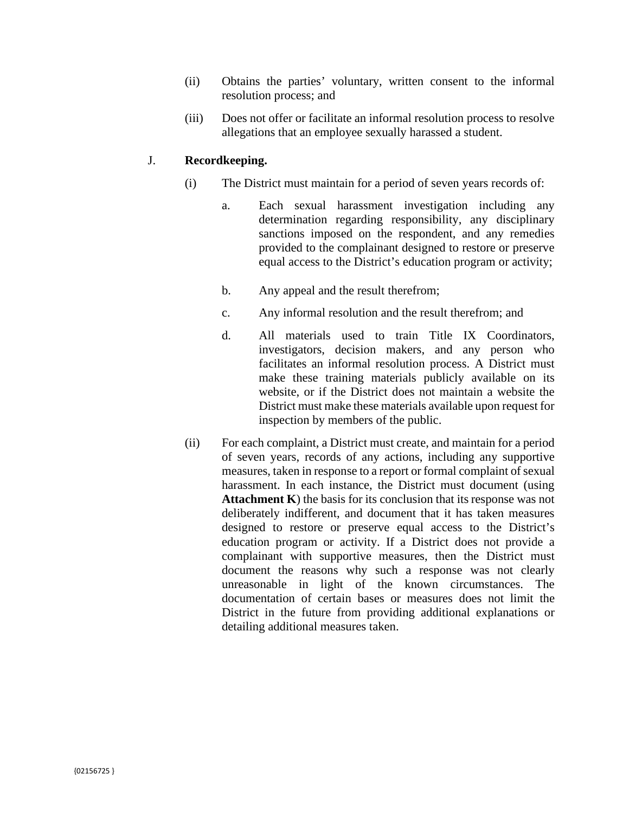- (ii) Obtains the parties' voluntary, written consent to the informal resolution process; and
- (iii) Does not offer or facilitate an informal resolution process to resolve allegations that an employee sexually harassed a student.

## J. **Recordkeeping.**

- (i) The District must maintain for a period of seven years records of:
	- a. Each sexual harassment investigation including any determination regarding responsibility, any disciplinary sanctions imposed on the respondent, and any remedies provided to the complainant designed to restore or preserve equal access to the District's education program or activity;
	- b. Any appeal and the result therefrom;
	- c. Any informal resolution and the result therefrom; and
	- d. All materials used to train Title IX Coordinators, investigators, decision makers, and any person who facilitates an informal resolution process. A District must make these training materials publicly available on its website, or if the District does not maintain a website the District must make these materials available upon request for inspection by members of the public.
- (ii) For each complaint, a District must create, and maintain for a period of seven years, records of any actions, including any supportive measures, taken in response to a report or formal complaint of sexual harassment. In each instance, the District must document (using **Attachment K**) the basis for its conclusion that its response was not deliberately indifferent, and document that it has taken measures designed to restore or preserve equal access to the District's education program or activity. If a District does not provide a complainant with supportive measures, then the District must document the reasons why such a response was not clearly unreasonable in light of the known circumstances. The documentation of certain bases or measures does not limit the District in the future from providing additional explanations or detailing additional measures taken.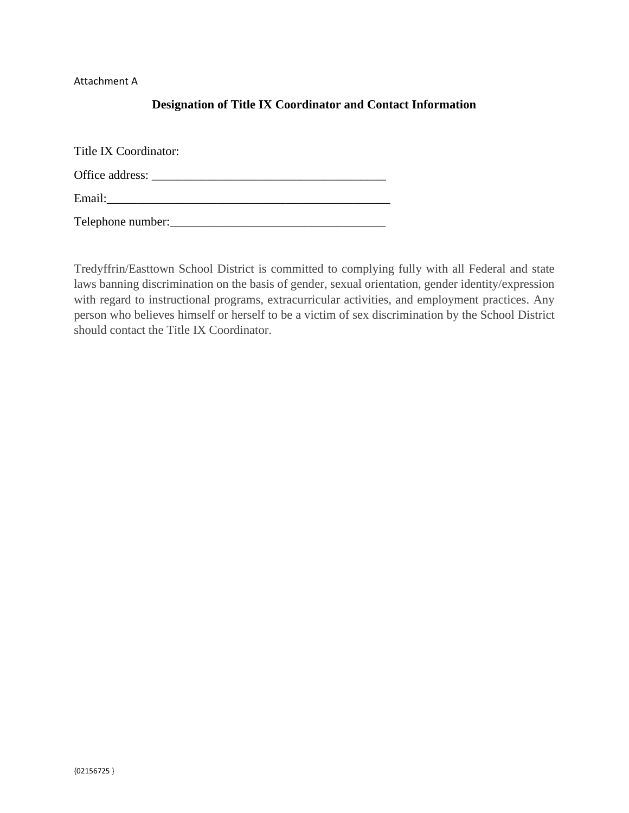Attachment A

# **Designation of Title IX Coordinator and Contact Information**

Title IX Coordinator: Office address: \_\_\_\_\_\_\_\_\_\_\_\_\_\_\_\_\_\_\_\_\_\_\_\_\_\_\_\_\_\_\_\_\_\_\_\_\_\_ Email:\_\_\_\_\_\_\_\_\_\_\_\_\_\_\_\_\_\_\_\_\_\_\_\_\_\_\_\_\_\_\_\_\_\_\_\_\_\_\_\_\_\_\_\_\_\_ Telephone number:

Tredyffrin/Easttown School District is committed to complying fully with all Federal and state laws banning discrimination on the basis of gender, sexual orientation, gender identity/expression with regard to instructional programs, extracurricular activities, and employment practices. Any person who believes himself or herself to be a victim of sex discrimination by the School District should contact the Title IX Coordinator.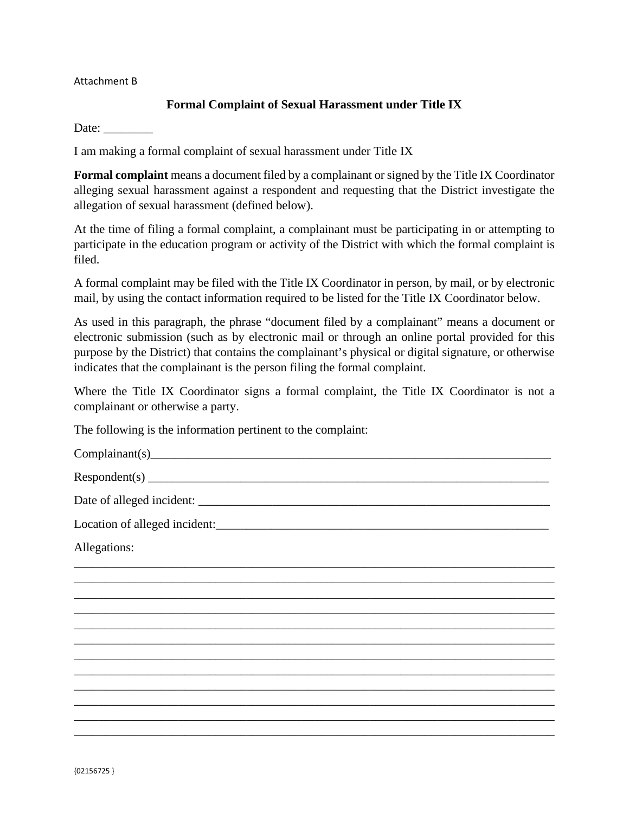### Attachment B

## **Formal Complaint of Sexual Harassment under Title IX**

Date:  $\qquad \qquad \qquad$ 

I am making a formal complaint of sexual harassment under Title IX

**Formal complaint** means a document filed by a complainant or signed by the Title IX Coordinator alleging sexual harassment against a respondent and requesting that the District investigate the allegation of sexual harassment (defined below).

At the time of filing a formal complaint, a complainant must be participating in or attempting to participate in the education program or activity of the District with which the formal complaint is filed.

A formal complaint may be filed with the Title IX Coordinator in person, by mail, or by electronic mail, by using the contact information required to be listed for the Title IX Coordinator below.

As used in this paragraph, the phrase "document filed by a complainant" means a document or electronic submission (such as by electronic mail or through an online portal provided for this purpose by the District) that contains the complainant's physical or digital signature, or otherwise indicates that the complainant is the person filing the formal complaint.

Where the Title IX Coordinator signs a formal complaint, the Title IX Coordinator is not a complainant or otherwise a party.

\_\_\_\_\_\_\_\_\_\_\_\_\_\_\_\_\_\_\_\_\_\_\_\_\_\_\_\_\_\_\_\_\_\_\_\_\_\_\_\_\_\_\_\_\_\_\_\_\_\_\_\_\_\_\_\_\_\_\_\_\_\_\_\_\_\_\_\_\_\_\_\_\_\_\_\_\_\_ \_\_\_\_\_\_\_\_\_\_\_\_\_\_\_\_\_\_\_\_\_\_\_\_\_\_\_\_\_\_\_\_\_\_\_\_\_\_\_\_\_\_\_\_\_\_\_\_\_\_\_\_\_\_\_\_\_\_\_\_\_\_\_\_\_\_\_\_\_\_\_\_\_\_\_\_\_\_ \_\_\_\_\_\_\_\_\_\_\_\_\_\_\_\_\_\_\_\_\_\_\_\_\_\_\_\_\_\_\_\_\_\_\_\_\_\_\_\_\_\_\_\_\_\_\_\_\_\_\_\_\_\_\_\_\_\_\_\_\_\_\_\_\_\_\_\_\_\_\_\_\_\_\_\_\_\_ \_\_\_\_\_\_\_\_\_\_\_\_\_\_\_\_\_\_\_\_\_\_\_\_\_\_\_\_\_\_\_\_\_\_\_\_\_\_\_\_\_\_\_\_\_\_\_\_\_\_\_\_\_\_\_\_\_\_\_\_\_\_\_\_\_\_\_\_\_\_\_\_\_\_\_\_\_\_ \_\_\_\_\_\_\_\_\_\_\_\_\_\_\_\_\_\_\_\_\_\_\_\_\_\_\_\_\_\_\_\_\_\_\_\_\_\_\_\_\_\_\_\_\_\_\_\_\_\_\_\_\_\_\_\_\_\_\_\_\_\_\_\_\_\_\_\_\_\_\_\_\_\_\_\_\_\_ \_\_\_\_\_\_\_\_\_\_\_\_\_\_\_\_\_\_\_\_\_\_\_\_\_\_\_\_\_\_\_\_\_\_\_\_\_\_\_\_\_\_\_\_\_\_\_\_\_\_\_\_\_\_\_\_\_\_\_\_\_\_\_\_\_\_\_\_\_\_\_\_\_\_\_\_\_\_ \_\_\_\_\_\_\_\_\_\_\_\_\_\_\_\_\_\_\_\_\_\_\_\_\_\_\_\_\_\_\_\_\_\_\_\_\_\_\_\_\_\_\_\_\_\_\_\_\_\_\_\_\_\_\_\_\_\_\_\_\_\_\_\_\_\_\_\_\_\_\_\_\_\_\_\_\_\_ \_\_\_\_\_\_\_\_\_\_\_\_\_\_\_\_\_\_\_\_\_\_\_\_\_\_\_\_\_\_\_\_\_\_\_\_\_\_\_\_\_\_\_\_\_\_\_\_\_\_\_\_\_\_\_\_\_\_\_\_\_\_\_\_\_\_\_\_\_\_\_\_\_\_\_\_\_\_ \_\_\_\_\_\_\_\_\_\_\_\_\_\_\_\_\_\_\_\_\_\_\_\_\_\_\_\_\_\_\_\_\_\_\_\_\_\_\_\_\_\_\_\_\_\_\_\_\_\_\_\_\_\_\_\_\_\_\_\_\_\_\_\_\_\_\_\_\_\_\_\_\_\_\_\_\_\_ \_\_\_\_\_\_\_\_\_\_\_\_\_\_\_\_\_\_\_\_\_\_\_\_\_\_\_\_\_\_\_\_\_\_\_\_\_\_\_\_\_\_\_\_\_\_\_\_\_\_\_\_\_\_\_\_\_\_\_\_\_\_\_\_\_\_\_\_\_\_\_\_\_\_\_\_\_\_ \_\_\_\_\_\_\_\_\_\_\_\_\_\_\_\_\_\_\_\_\_\_\_\_\_\_\_\_\_\_\_\_\_\_\_\_\_\_\_\_\_\_\_\_\_\_\_\_\_\_\_\_\_\_\_\_\_\_\_\_\_\_\_\_\_\_\_\_\_\_\_\_\_\_\_\_\_\_ \_\_\_\_\_\_\_\_\_\_\_\_\_\_\_\_\_\_\_\_\_\_\_\_\_\_\_\_\_\_\_\_\_\_\_\_\_\_\_\_\_\_\_\_\_\_\_\_\_\_\_\_\_\_\_\_\_\_\_\_\_\_\_\_\_\_\_\_\_\_\_\_\_\_\_\_\_\_

The following is the information pertinent to the complaint:

 $Complainant(s)$ 

 $Respondent(s)$ 

Date of alleged incident:

Location of alleged incident:\_\_\_\_\_\_\_\_\_\_\_\_\_\_\_\_\_\_\_\_\_\_\_\_\_\_\_\_\_\_\_\_\_\_\_\_\_\_\_\_\_\_\_\_\_\_\_\_\_\_\_\_\_\_

Allegations: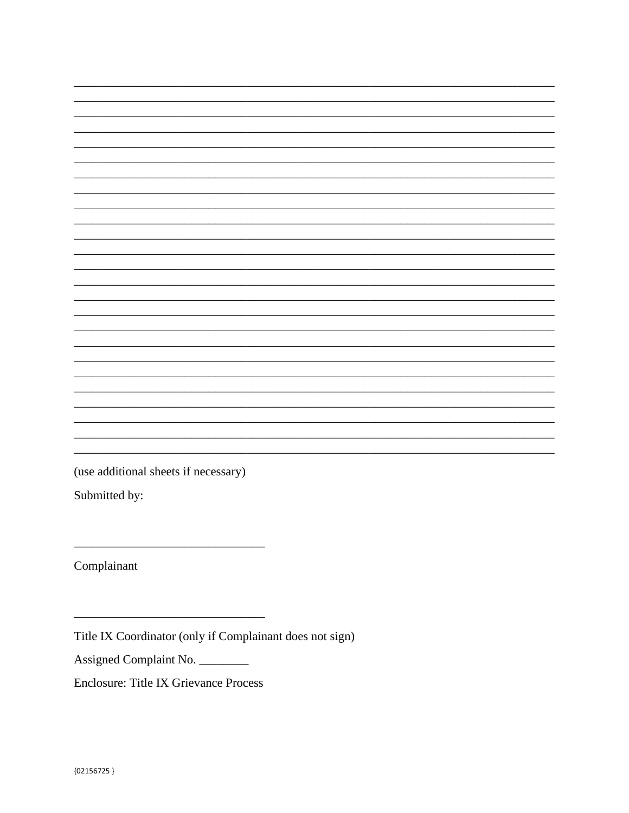(use additional sheets if necessary)

Submitted by:

Complainant

Title IX Coordinator (only if Complainant does not sign)

Assigned Complaint No.

**Enclosure: Title IX Grievance Process**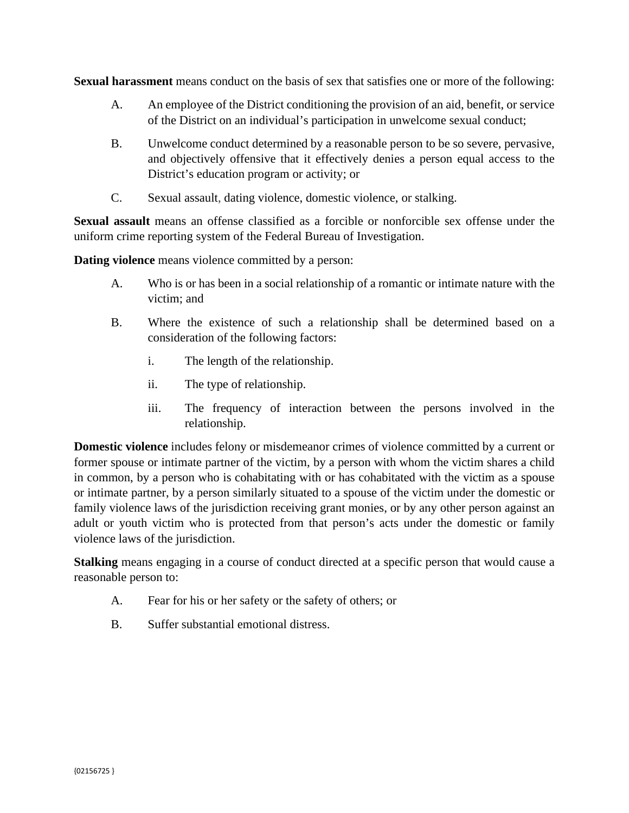**Sexual harassment** means conduct on the basis of sex that satisfies one or more of the following:

- A. An employee of the District conditioning the provision of an aid, benefit, or service of the District on an individual's participation in unwelcome sexual conduct;
- B. Unwelcome conduct determined by a reasonable person to be so severe, pervasive, and objectively offensive that it effectively denies a person equal access to the District's education program or activity; or
- C. Sexual assault, dating violence, domestic violence, or stalking.

**Sexual assault** means an offense classified as a forcible or nonforcible sex offense under the uniform crime reporting system of the Federal Bureau of Investigation.

**Dating violence** means violence committed by a person:

- A. Who is or has been in a social relationship of a romantic or intimate nature with the victim; and
- B. Where the existence of such a relationship shall be determined based on a consideration of the following factors:
	- i. The length of the relationship.
	- ii. The type of relationship.
	- iii. The frequency of interaction between the persons involved in the relationship.

**Domestic violence** includes felony or misdemeanor crimes of violence committed by a current or former spouse or intimate partner of the victim, by a person with whom the victim shares a child in common, by a person who is cohabitating with or has cohabitated with the victim as a spouse or intimate partner, by a person similarly situated to a spouse of the victim under the domestic or family violence laws of the jurisdiction receiving grant monies, or by any other person against an adult or youth victim who is protected from that person's acts under the domestic or family violence laws of the jurisdiction.

**Stalking** means engaging in a course of conduct directed at a specific person that would cause a reasonable person to:

- A. Fear for his or her safety or the safety of others; or
- B. Suffer substantial emotional distress.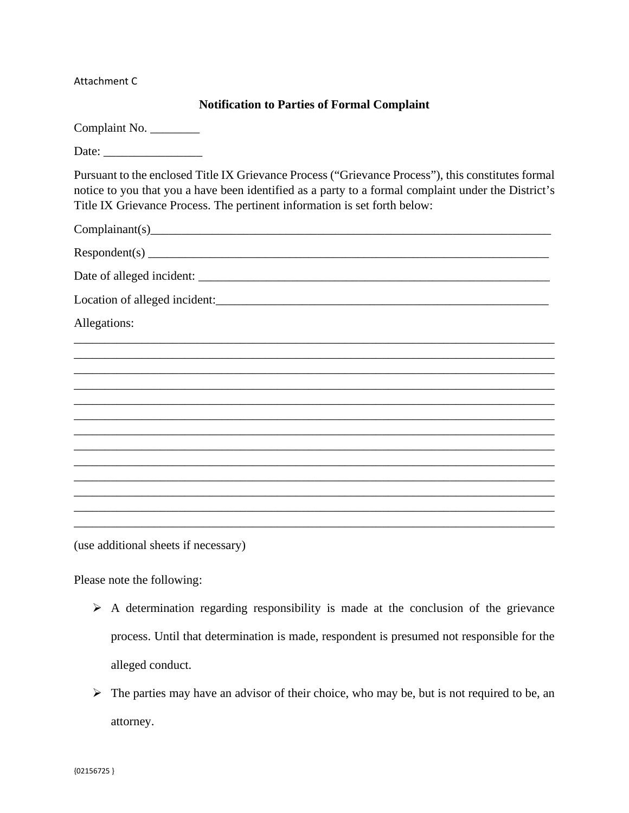Attachment C

# **Notification to Parties of Formal Complaint**

(use additional sheets if necessary)

Please note the following:

- $\triangleright$  A determination regarding responsibility is made at the conclusion of the grievance process. Until that determination is made, respondent is presumed not responsible for the alleged conduct.
- $\triangleright$  The parties may have an advisor of their choice, who may be, but is not required to be, an attorney.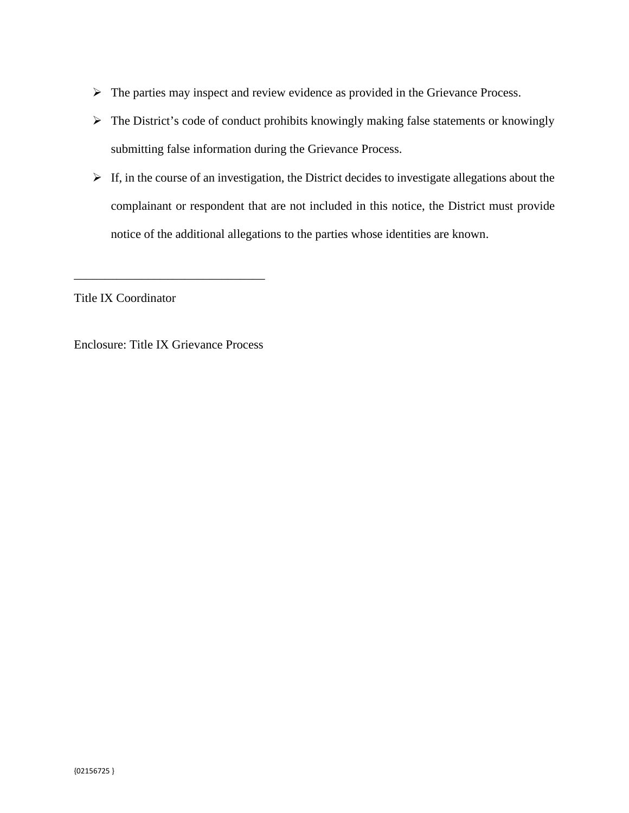- $\triangleright$  The parties may inspect and review evidence as provided in the Grievance Process.
- $\triangleright$  The District's code of conduct prohibits knowingly making false statements or knowingly submitting false information during the Grievance Process.
- $\triangleright$  If, in the course of an investigation, the District decides to investigate allegations about the complainant or respondent that are not included in this notice, the District must provide notice of the additional allegations to the parties whose identities are known.

Title IX Coordinator

Enclosure: Title IX Grievance Process

\_\_\_\_\_\_\_\_\_\_\_\_\_\_\_\_\_\_\_\_\_\_\_\_\_\_\_\_\_\_\_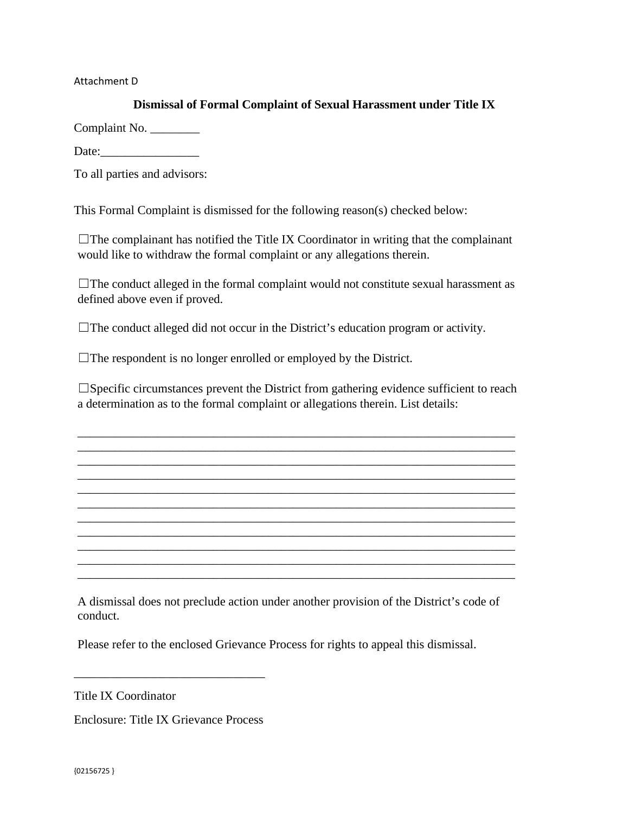Attachment D

# **Dismissal of Formal Complaint of Sexual Harassment under Title IX**

Complaint No. \_\_\_\_\_\_\_\_

Date:

To all parties and advisors:

This Formal Complaint is dismissed for the following reason(s) checked below:

 $\Box$ The complainant has notified the Title IX Coordinator in writing that the complainant would like to withdraw the formal complaint or any allegations therein.

☐The conduct alleged in the formal complaint would not constitute sexual harassment as defined above even if proved.

☐The conduct alleged did not occur in the District's education program or activity.

 $\Box$ The respondent is no longer enrolled or employed by the District.

 $\square$ Specific circumstances prevent the District from gathering evidence sufficient to reach a determination as to the formal complaint or allegations therein. List details:

\_\_\_\_\_\_\_\_\_\_\_\_\_\_\_\_\_\_\_\_\_\_\_\_\_\_\_\_\_\_\_\_\_\_\_\_\_\_\_\_\_\_\_\_\_\_\_\_\_\_\_\_\_\_\_\_\_\_\_\_\_\_\_\_\_\_\_\_\_\_\_ \_\_\_\_\_\_\_\_\_\_\_\_\_\_\_\_\_\_\_\_\_\_\_\_\_\_\_\_\_\_\_\_\_\_\_\_\_\_\_\_\_\_\_\_\_\_\_\_\_\_\_\_\_\_\_\_\_\_\_\_\_\_\_\_\_\_\_\_\_\_\_ \_\_\_\_\_\_\_\_\_\_\_\_\_\_\_\_\_\_\_\_\_\_\_\_\_\_\_\_\_\_\_\_\_\_\_\_\_\_\_\_\_\_\_\_\_\_\_\_\_\_\_\_\_\_\_\_\_\_\_\_\_\_\_\_\_\_\_\_\_\_\_ \_\_\_\_\_\_\_\_\_\_\_\_\_\_\_\_\_\_\_\_\_\_\_\_\_\_\_\_\_\_\_\_\_\_\_\_\_\_\_\_\_\_\_\_\_\_\_\_\_\_\_\_\_\_\_\_\_\_\_\_\_\_\_\_\_\_\_\_\_\_\_ \_\_\_\_\_\_\_\_\_\_\_\_\_\_\_\_\_\_\_\_\_\_\_\_\_\_\_\_\_\_\_\_\_\_\_\_\_\_\_\_\_\_\_\_\_\_\_\_\_\_\_\_\_\_\_\_\_\_\_\_\_\_\_\_\_\_\_\_\_\_\_ \_\_\_\_\_\_\_\_\_\_\_\_\_\_\_\_\_\_\_\_\_\_\_\_\_\_\_\_\_\_\_\_\_\_\_\_\_\_\_\_\_\_\_\_\_\_\_\_\_\_\_\_\_\_\_\_\_\_\_\_\_\_\_\_\_\_\_\_\_\_\_ \_\_\_\_\_\_\_\_\_\_\_\_\_\_\_\_\_\_\_\_\_\_\_\_\_\_\_\_\_\_\_\_\_\_\_\_\_\_\_\_\_\_\_\_\_\_\_\_\_\_\_\_\_\_\_\_\_\_\_\_\_\_\_\_\_\_\_\_\_\_\_ \_\_\_\_\_\_\_\_\_\_\_\_\_\_\_\_\_\_\_\_\_\_\_\_\_\_\_\_\_\_\_\_\_\_\_\_\_\_\_\_\_\_\_\_\_\_\_\_\_\_\_\_\_\_\_\_\_\_\_\_\_\_\_\_\_\_\_\_\_\_\_

A dismissal does not preclude action under another provision of the District's code of conduct.

\_\_\_\_\_\_\_\_\_\_\_\_\_\_\_\_\_\_\_\_\_\_\_\_\_\_\_\_\_\_\_\_\_\_\_\_\_\_\_\_\_\_\_\_\_\_\_\_\_\_\_\_\_\_\_\_\_\_\_\_\_\_\_\_\_\_\_\_\_\_\_ \_\_\_\_\_\_\_\_\_\_\_\_\_\_\_\_\_\_\_\_\_\_\_\_\_\_\_\_\_\_\_\_\_\_\_\_\_\_\_\_\_\_\_\_\_\_\_\_\_\_\_\_\_\_\_\_\_\_\_\_\_\_\_\_\_\_\_\_\_\_\_

 $\mathcal{L}_\text{max} = \mathcal{L}_\text{max} = \mathcal{L}_\text{max} = \mathcal{L}_\text{max} = \mathcal{L}_\text{max} = \mathcal{L}_\text{max} = \mathcal{L}_\text{max} = \mathcal{L}_\text{max} = \mathcal{L}_\text{max} = \mathcal{L}_\text{max} = \mathcal{L}_\text{max} = \mathcal{L}_\text{max} = \mathcal{L}_\text{max} = \mathcal{L}_\text{max} = \mathcal{L}_\text{max} = \mathcal{L}_\text{max} = \mathcal{L}_\text{max} = \mathcal{L}_\text{max} = \mathcal{$ 

Please refer to the enclosed Grievance Process for rights to appeal this dismissal.

Title IX Coordinator

Enclosure: Title IX Grievance Process

\_\_\_\_\_\_\_\_\_\_\_\_\_\_\_\_\_\_\_\_\_\_\_\_\_\_\_\_\_\_\_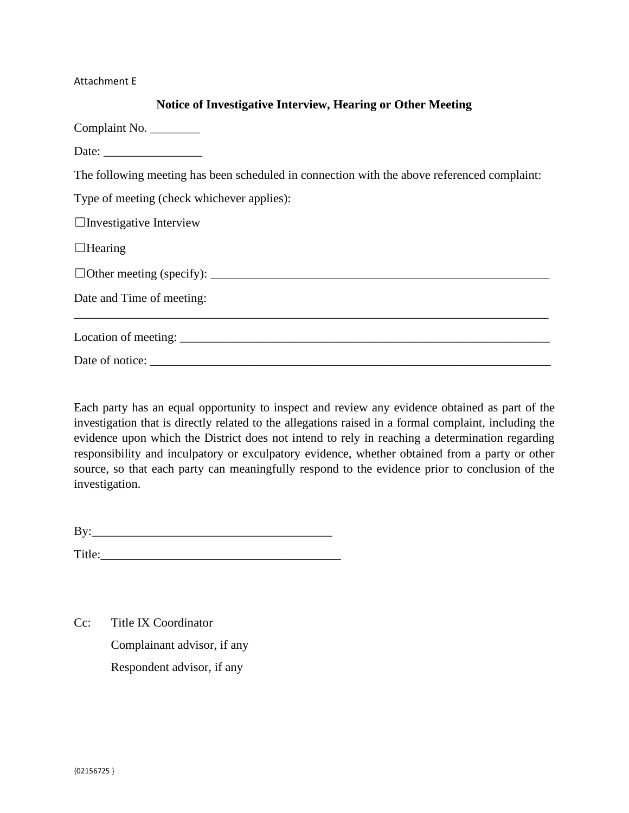#### Attachment E

### **Notice of Investigative Interview, Hearing or Other Meeting**

Complaint No. \_\_\_\_\_\_\_\_ Date:

The following meeting has been scheduled in connection with the above referenced complaint:

Type of meeting (check whichever applies):

 $\Box$ Investigative Interview

 $\Box$ Hearing

| Date and Time of meeting: |  |
|---------------------------|--|
|                           |  |
| Date of notice:           |  |

Each party has an equal opportunity to inspect and review any evidence obtained as part of the investigation that is directly related to the allegations raised in a formal complaint, including the evidence upon which the District does not intend to rely in reaching a determination regarding responsibility and inculpatory or exculpatory evidence, whether obtained from a party or other source, so that each party can meaningfully respond to the evidence prior to conclusion of the investigation.

 $\mathbf{By:}$ 

Title:

Cc: Title IX Coordinator Complainant advisor, if any Respondent advisor, if any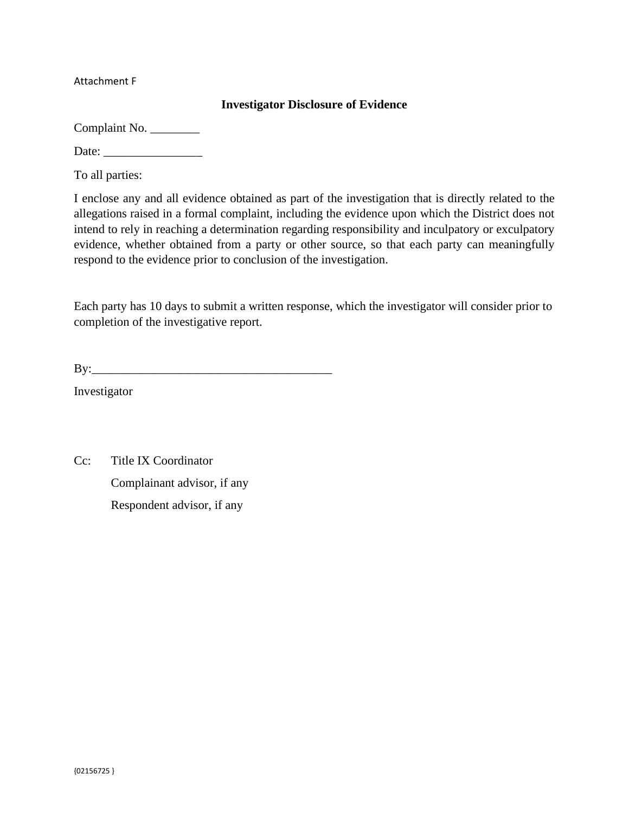Attachment F

### **Investigator Disclosure of Evidence**

Complaint No. \_\_\_\_\_\_\_\_

Date: \_\_\_\_\_\_\_\_\_\_\_\_\_\_\_\_

To all parties:

I enclose any and all evidence obtained as part of the investigation that is directly related to the allegations raised in a formal complaint, including the evidence upon which the District does not intend to rely in reaching a determination regarding responsibility and inculpatory or exculpatory evidence, whether obtained from a party or other source, so that each party can meaningfully respond to the evidence prior to conclusion of the investigation.

Each party has 10 days to submit a written response, which the investigator will consider prior to completion of the investigative report.

| B |
|---|
|---|

Investigator

Cc: Title IX Coordinator Complainant advisor, if any Respondent advisor, if any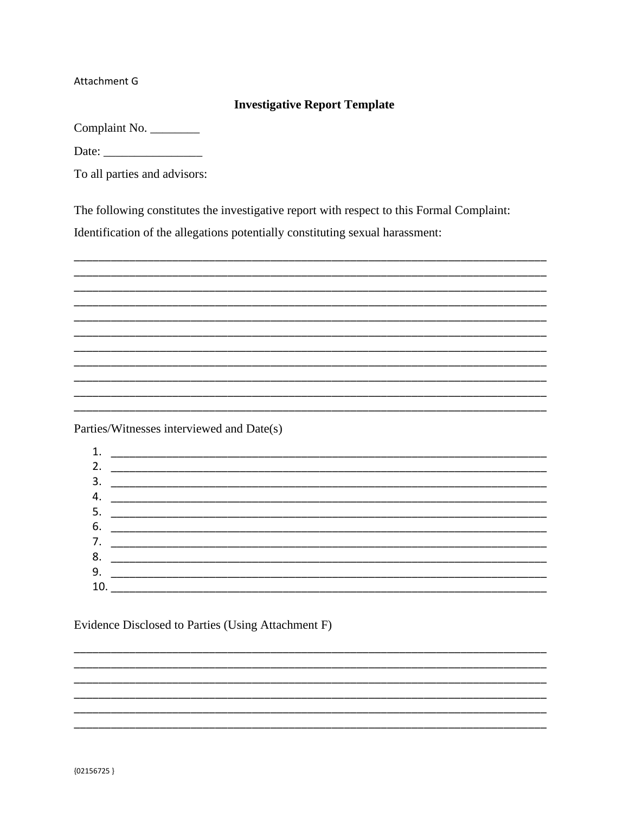Attachment G

# **Investigative Report Template**

Complaint No.

To all parties and advisors:

The following constitutes the investigative report with respect to this Formal Complaint:

Identification of the allegations potentially constituting sexual harassment:

Parties/Witnesses interviewed and Date(s)



Evidence Disclosed to Parties (Using Attachment F)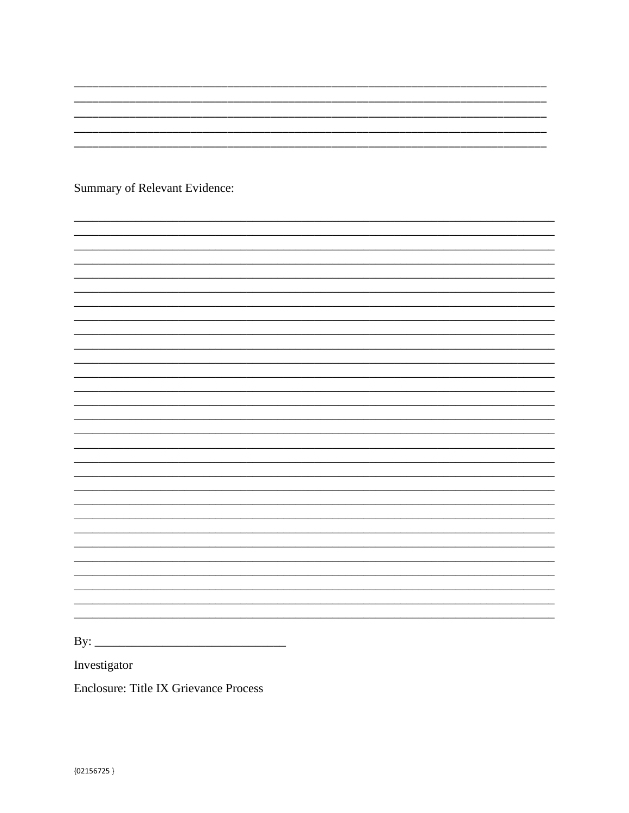Summary of Relevant Evidence:

By:  $\qquad \qquad$ 

Investigator

**Enclosure: Title IX Grievance Process**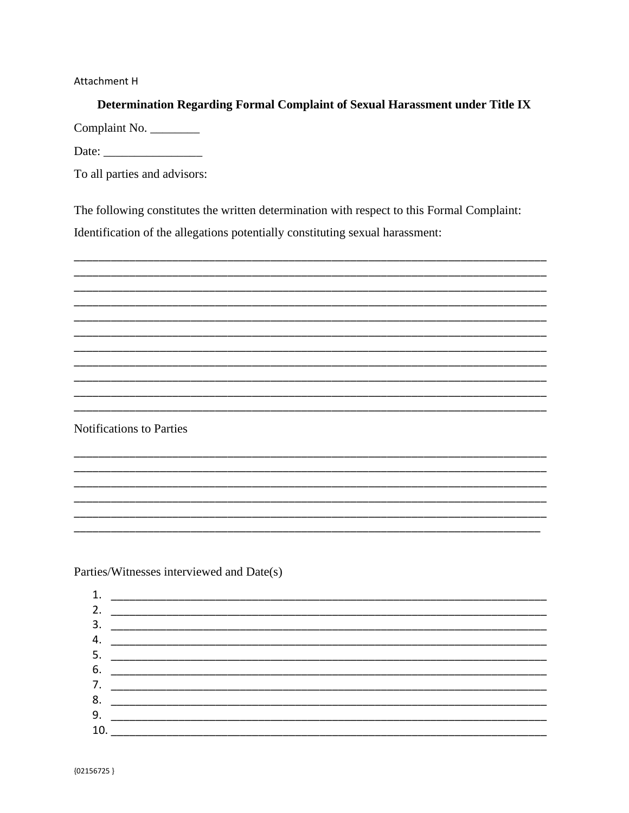**Attachment H** 

Determination Regarding Formal Complaint of Sexual Harassment under Title IX Complaint No.

To all parties and advisors:

The following constitutes the written determination with respect to this Formal Complaint:

Identification of the allegations potentially constituting sexual harassment:



**Notifications to Parties** 

Parties/Witnesses interviewed and Date(s)

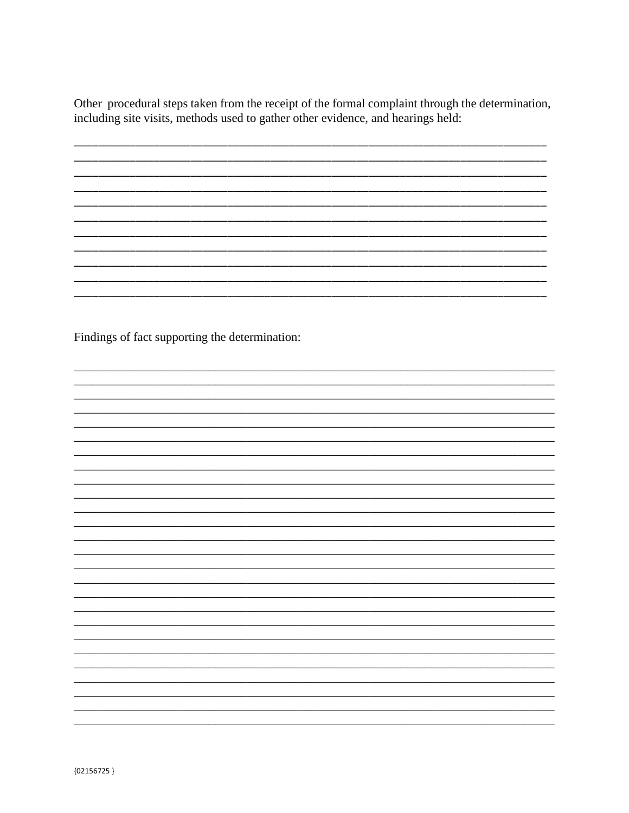Other procedural steps taken from the receipt of the formal complaint through the determination, including site visits, methods used to gather other evidence, and hearings held:

Findings of fact supporting the determination: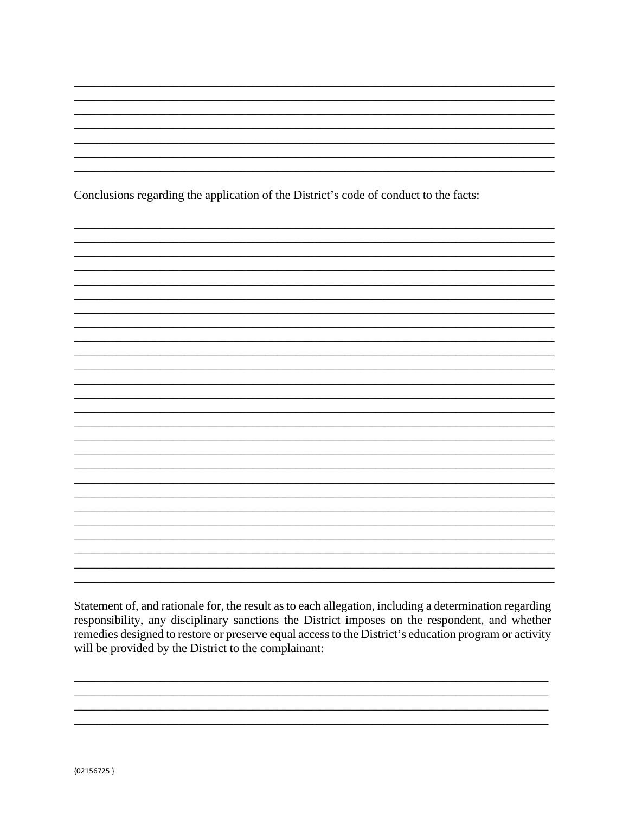Conclusions regarding the application of the District's code of conduct to the facts:

Statement of, and rationale for, the result as to each allegation, including a determination regarding responsibility, any disciplinary sanctions the District imposes on the respondent, and whether remedies designed to restore or preserve equal access to the District's education program or activity will be provided by the District to the complainant: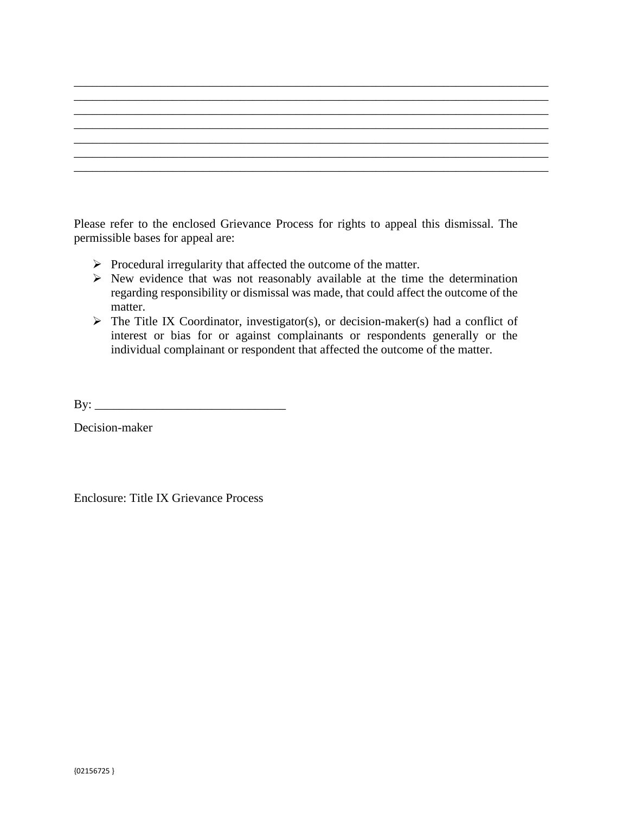Please refer to the enclosed Grievance Process for rights to appeal this dismissal. The permissible bases for appeal are:

- $\triangleright$  Procedural irregularity that affected the outcome of the matter.
- $\triangleright$  New evidence that was not reasonably available at the time the determination regarding responsibility or dismissal was made, that could affect the outcome of the matter.
- $\triangleright$  The Title IX Coordinator, investigator(s), or decision-maker(s) had a conflict of interest or bias for or against complainants or respondents generally or the individual complainant or respondent that affected the outcome of the matter.

 $\mathbf{By:}$ 

Decision-maker

Enclosure: Title IX Grievance Process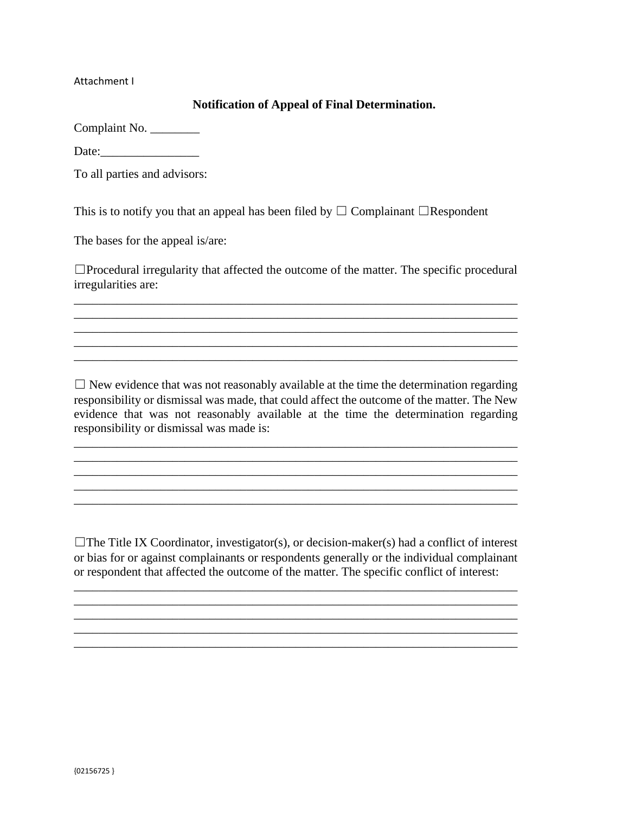Attachment I

### **Notification of Appeal of Final Determination.**

| Complaint No. |  |
|---------------|--|
|---------------|--|

Date:

To all parties and advisors:

This is to notify you that an appeal has been filed by  $\Box$  Complainant  $\Box$ Respondent

The bases for the appeal is/are:

☐Procedural irregularity that affected the outcome of the matter. The specific procedural irregularities are:

\_\_\_\_\_\_\_\_\_\_\_\_\_\_\_\_\_\_\_\_\_\_\_\_\_\_\_\_\_\_\_\_\_\_\_\_\_\_\_\_\_\_\_\_\_\_\_\_\_\_\_\_\_\_\_\_\_\_\_\_\_\_\_\_\_\_\_\_\_\_\_\_ \_\_\_\_\_\_\_\_\_\_\_\_\_\_\_\_\_\_\_\_\_\_\_\_\_\_\_\_\_\_\_\_\_\_\_\_\_\_\_\_\_\_\_\_\_\_\_\_\_\_\_\_\_\_\_\_\_\_\_\_\_\_\_\_\_\_\_\_\_\_\_\_

 $\Box$  New evidence that was not reasonably available at the time the determination regarding responsibility or dismissal was made, that could affect the outcome of the matter. The New evidence that was not reasonably available at the time the determination regarding responsibility or dismissal was made is:

\_\_\_\_\_\_\_\_\_\_\_\_\_\_\_\_\_\_\_\_\_\_\_\_\_\_\_\_\_\_\_\_\_\_\_\_\_\_\_\_\_\_\_\_\_\_\_\_\_\_\_\_\_\_\_\_\_\_\_\_\_\_\_\_\_\_\_\_\_\_\_\_ \_\_\_\_\_\_\_\_\_\_\_\_\_\_\_\_\_\_\_\_\_\_\_\_\_\_\_\_\_\_\_\_\_\_\_\_\_\_\_\_\_\_\_\_\_\_\_\_\_\_\_\_\_\_\_\_\_\_\_\_\_\_\_\_\_\_\_\_\_\_\_\_

 $\mathcal{L}_\mathcal{L} = \{ \mathcal{L}_\mathcal{L} = \{ \mathcal{L}_\mathcal{L} = \{ \mathcal{L}_\mathcal{L} = \{ \mathcal{L}_\mathcal{L} = \{ \mathcal{L}_\mathcal{L} = \{ \mathcal{L}_\mathcal{L} = \{ \mathcal{L}_\mathcal{L} = \{ \mathcal{L}_\mathcal{L} = \{ \mathcal{L}_\mathcal{L} = \{ \mathcal{L}_\mathcal{L} = \{ \mathcal{L}_\mathcal{L} = \{ \mathcal{L}_\mathcal{L} = \{ \mathcal{L}_\mathcal{L} = \{ \mathcal{L}_\mathcal{$  $\mathcal{L}_\mathcal{L} = \{ \mathcal{L}_\mathcal{L} = \{ \mathcal{L}_\mathcal{L} = \{ \mathcal{L}_\mathcal{L} = \{ \mathcal{L}_\mathcal{L} = \{ \mathcal{L}_\mathcal{L} = \{ \mathcal{L}_\mathcal{L} = \{ \mathcal{L}_\mathcal{L} = \{ \mathcal{L}_\mathcal{L} = \{ \mathcal{L}_\mathcal{L} = \{ \mathcal{L}_\mathcal{L} = \{ \mathcal{L}_\mathcal{L} = \{ \mathcal{L}_\mathcal{L} = \{ \mathcal{L}_\mathcal{L} = \{ \mathcal{L}_\mathcal{$ 

 $\mathcal{L}_\text{max} = \mathcal{L}_\text{max} = \mathcal{L}_\text{max} = \mathcal{L}_\text{max} = \mathcal{L}_\text{max} = \mathcal{L}_\text{max} = \mathcal{L}_\text{max} = \mathcal{L}_\text{max} = \mathcal{L}_\text{max} = \mathcal{L}_\text{max} = \mathcal{L}_\text{max} = \mathcal{L}_\text{max} = \mathcal{L}_\text{max} = \mathcal{L}_\text{max} = \mathcal{L}_\text{max} = \mathcal{L}_\text{max} = \mathcal{L}_\text{max} = \mathcal{L}_\text{max} = \mathcal{$ 

\_\_\_\_\_\_\_\_\_\_\_\_\_\_\_\_\_\_\_\_\_\_\_\_\_\_\_\_\_\_\_\_\_\_\_\_\_\_\_\_\_\_\_\_\_\_\_\_\_\_\_\_\_\_\_\_\_\_\_\_\_\_\_\_\_\_\_\_\_\_\_\_

 $\Box$ The Title IX Coordinator, investigator(s), or decision-maker(s) had a conflict of interest or bias for or against complainants or respondents generally or the individual complainant or respondent that affected the outcome of the matter. The specific conflict of interest:

\_\_\_\_\_\_\_\_\_\_\_\_\_\_\_\_\_\_\_\_\_\_\_\_\_\_\_\_\_\_\_\_\_\_\_\_\_\_\_\_\_\_\_\_\_\_\_\_\_\_\_\_\_\_\_\_\_\_\_\_\_\_\_\_\_\_\_\_\_\_\_\_ \_\_\_\_\_\_\_\_\_\_\_\_\_\_\_\_\_\_\_\_\_\_\_\_\_\_\_\_\_\_\_\_\_\_\_\_\_\_\_\_\_\_\_\_\_\_\_\_\_\_\_\_\_\_\_\_\_\_\_\_\_\_\_\_\_\_\_\_\_\_\_\_

\_\_\_\_\_\_\_\_\_\_\_\_\_\_\_\_\_\_\_\_\_\_\_\_\_\_\_\_\_\_\_\_\_\_\_\_\_\_\_\_\_\_\_\_\_\_\_\_\_\_\_\_\_\_\_\_\_\_\_\_\_\_\_\_\_\_\_\_\_\_\_\_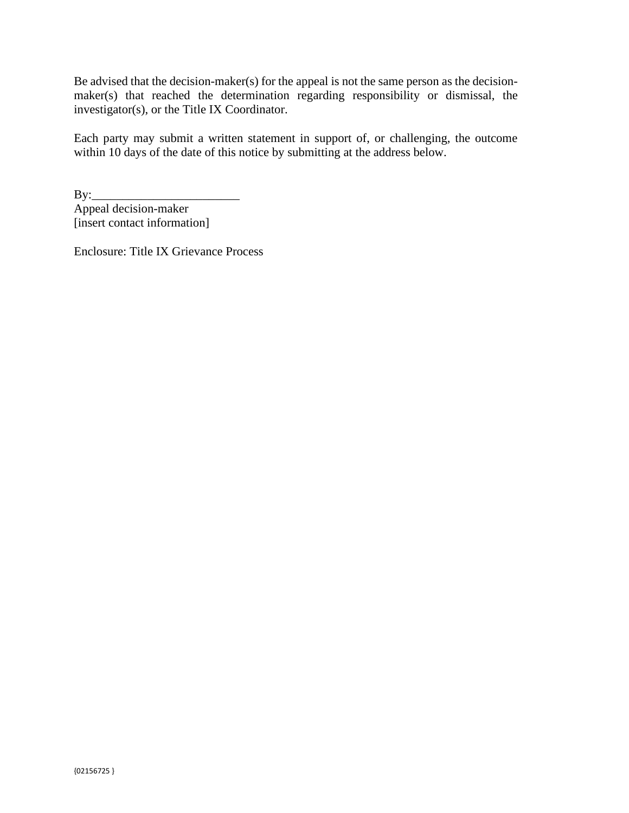Be advised that the decision-maker(s) for the appeal is not the same person as the decisionmaker(s) that reached the determination regarding responsibility or dismissal, the investigator(s), or the Title IX Coordinator.

Each party may submit a written statement in support of, or challenging, the outcome within 10 days of the date of this notice by submitting at the address below.

By:\_\_\_\_\_\_\_\_\_\_\_\_\_\_\_\_\_\_\_\_\_\_\_\_ Appeal decision-maker [insert contact information]

Enclosure: Title IX Grievance Process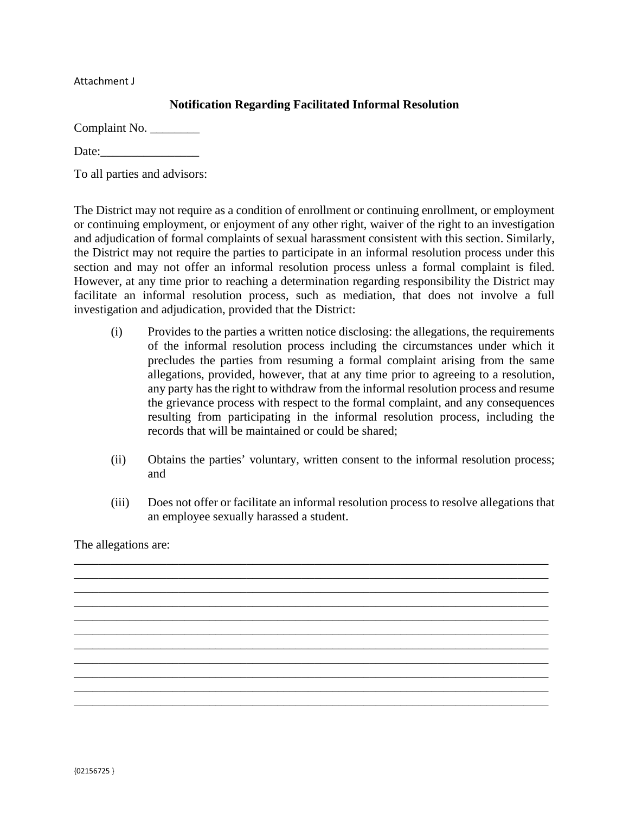Attachment J

# **Notification Regarding Facilitated Informal Resolution**

Complaint No. \_\_\_\_\_\_\_\_\_

Date:

To all parties and advisors:

The District may not require as a condition of enrollment or continuing enrollment, or employment or continuing employment, or enjoyment of any other right, waiver of the right to an investigation and adjudication of formal complaints of sexual harassment consistent with this section. Similarly, the District may not require the parties to participate in an informal resolution process under this section and may not offer an informal resolution process unless a formal complaint is filed. However, at any time prior to reaching a determination regarding responsibility the District may facilitate an informal resolution process, such as mediation, that does not involve a full investigation and adjudication, provided that the District:

- (i) Provides to the parties a written notice disclosing: the allegations, the requirements of the informal resolution process including the circumstances under which it precludes the parties from resuming a formal complaint arising from the same allegations, provided, however, that at any time prior to agreeing to a resolution, any party has the right to withdraw from the informal resolution process and resume the grievance process with respect to the formal complaint, and any consequences resulting from participating in the informal resolution process, including the records that will be maintained or could be shared;
- (ii) Obtains the parties' voluntary, written consent to the informal resolution process; and
- (iii) Does not offer or facilitate an informal resolution process to resolve allegations that an employee sexually harassed a student.

\_\_\_\_\_\_\_\_\_\_\_\_\_\_\_\_\_\_\_\_\_\_\_\_\_\_\_\_\_\_\_\_\_\_\_\_\_\_\_\_\_\_\_\_\_\_\_\_\_\_\_\_\_\_\_\_\_\_\_\_\_\_\_\_\_\_\_\_\_\_\_\_\_\_\_\_\_ \_\_\_\_\_\_\_\_\_\_\_\_\_\_\_\_\_\_\_\_\_\_\_\_\_\_\_\_\_\_\_\_\_\_\_\_\_\_\_\_\_\_\_\_\_\_\_\_\_\_\_\_\_\_\_\_\_\_\_\_\_\_\_\_\_\_\_\_\_\_\_\_\_\_\_\_\_ \_\_\_\_\_\_\_\_\_\_\_\_\_\_\_\_\_\_\_\_\_\_\_\_\_\_\_\_\_\_\_\_\_\_\_\_\_\_\_\_\_\_\_\_\_\_\_\_\_\_\_\_\_\_\_\_\_\_\_\_\_\_\_\_\_\_\_\_\_\_\_\_\_\_\_\_\_ \_\_\_\_\_\_\_\_\_\_\_\_\_\_\_\_\_\_\_\_\_\_\_\_\_\_\_\_\_\_\_\_\_\_\_\_\_\_\_\_\_\_\_\_\_\_\_\_\_\_\_\_\_\_\_\_\_\_\_\_\_\_\_\_\_\_\_\_\_\_\_\_\_\_\_\_\_ \_\_\_\_\_\_\_\_\_\_\_\_\_\_\_\_\_\_\_\_\_\_\_\_\_\_\_\_\_\_\_\_\_\_\_\_\_\_\_\_\_\_\_\_\_\_\_\_\_\_\_\_\_\_\_\_\_\_\_\_\_\_\_\_\_\_\_\_\_\_\_\_\_\_\_\_\_ \_\_\_\_\_\_\_\_\_\_\_\_\_\_\_\_\_\_\_\_\_\_\_\_\_\_\_\_\_\_\_\_\_\_\_\_\_\_\_\_\_\_\_\_\_\_\_\_\_\_\_\_\_\_\_\_\_\_\_\_\_\_\_\_\_\_\_\_\_\_\_\_\_\_\_\_\_ \_\_\_\_\_\_\_\_\_\_\_\_\_\_\_\_\_\_\_\_\_\_\_\_\_\_\_\_\_\_\_\_\_\_\_\_\_\_\_\_\_\_\_\_\_\_\_\_\_\_\_\_\_\_\_\_\_\_\_\_\_\_\_\_\_\_\_\_\_\_\_\_\_\_\_\_\_ \_\_\_\_\_\_\_\_\_\_\_\_\_\_\_\_\_\_\_\_\_\_\_\_\_\_\_\_\_\_\_\_\_\_\_\_\_\_\_\_\_\_\_\_\_\_\_\_\_\_\_\_\_\_\_\_\_\_\_\_\_\_\_\_\_\_\_\_\_\_\_\_\_\_\_\_\_ \_\_\_\_\_\_\_\_\_\_\_\_\_\_\_\_\_\_\_\_\_\_\_\_\_\_\_\_\_\_\_\_\_\_\_\_\_\_\_\_\_\_\_\_\_\_\_\_\_\_\_\_\_\_\_\_\_\_\_\_\_\_\_\_\_\_\_\_\_\_\_\_\_\_\_\_\_ \_\_\_\_\_\_\_\_\_\_\_\_\_\_\_\_\_\_\_\_\_\_\_\_\_\_\_\_\_\_\_\_\_\_\_\_\_\_\_\_\_\_\_\_\_\_\_\_\_\_\_\_\_\_\_\_\_\_\_\_\_\_\_\_\_\_\_\_\_\_\_\_\_\_\_\_\_ \_\_\_\_\_\_\_\_\_\_\_\_\_\_\_\_\_\_\_\_\_\_\_\_\_\_\_\_\_\_\_\_\_\_\_\_\_\_\_\_\_\_\_\_\_\_\_\_\_\_\_\_\_\_\_\_\_\_\_\_\_\_\_\_\_\_\_\_\_\_\_\_\_\_\_\_\_

The allegations are: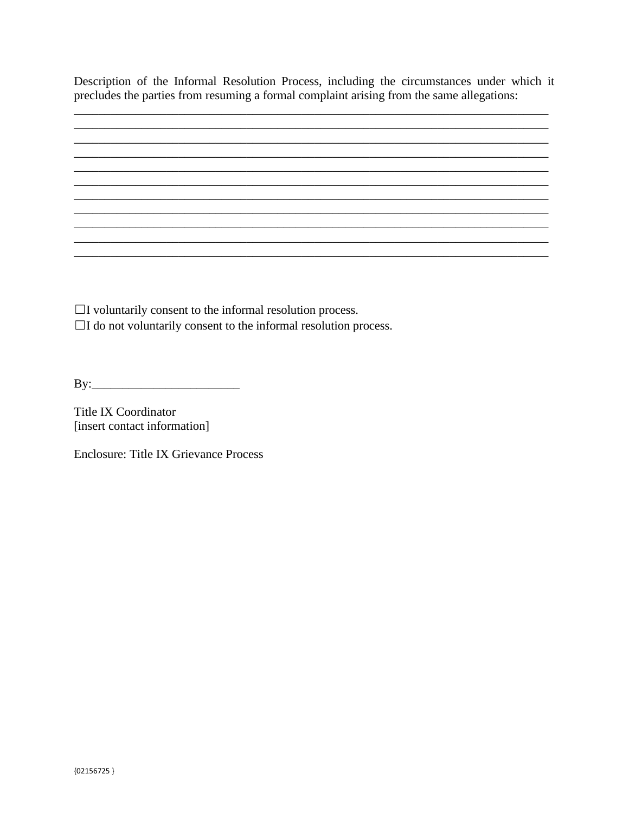Description of the Informal Resolution Process, including the circumstances under which it precludes the parties from resuming a formal complaint arising from the same allegations:

<u> 1989 - Johann Stoff, amerikansk politiker (d. 1989)</u>

 $\Box$  I voluntarily consent to the informal resolution process.

 $\Box$ I do not voluntarily consent to the informal resolution process.

**Title IX Coordinator** [insert contact information]

Enclosure: Title IX Grievance Process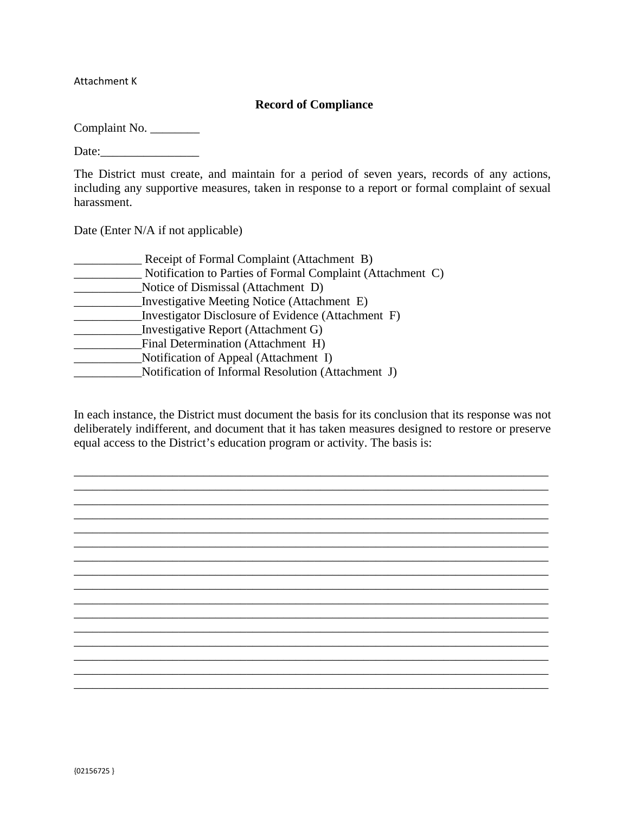Attachment K

### **Record of Compliance**

Complaint No. \_\_\_\_\_\_\_\_\_

Date:

The District must create, and maintain for a period of seven years, records of any actions, including any supportive measures, taken in response to a report or formal complaint of sexual harassment.

Date (Enter N/A if not applicable)

| Receipt of Formal Complaint (Attachment B)                 |  |
|------------------------------------------------------------|--|
| Notification to Parties of Formal Complaint (Attachment C) |  |
| Notice of Dismissal (Attachment D)                         |  |
| Investigative Meeting Notice (Attachment E)                |  |
| Investigator Disclosure of Evidence (Attachment F)         |  |
| Investigative Report (Attachment G)                        |  |
| Final Determination (Attachment H)                         |  |
| Notification of Appeal (Attachment I)                      |  |
| Notification of Informal Resolution (Attachment J)         |  |
|                                                            |  |

In each instance, the District must document the basis for its conclusion that its response was not deliberately indifferent, and document that it has taken measures designed to restore or preserve equal access to the District's education program or activity. The basis is:

\_\_\_\_\_\_\_\_\_\_\_\_\_\_\_\_\_\_\_\_\_\_\_\_\_\_\_\_\_\_\_\_\_\_\_\_\_\_\_\_\_\_\_\_\_\_\_\_\_\_\_\_\_\_\_\_\_\_\_\_\_\_\_\_\_\_\_\_\_\_\_\_\_\_\_\_\_ \_\_\_\_\_\_\_\_\_\_\_\_\_\_\_\_\_\_\_\_\_\_\_\_\_\_\_\_\_\_\_\_\_\_\_\_\_\_\_\_\_\_\_\_\_\_\_\_\_\_\_\_\_\_\_\_\_\_\_\_\_\_\_\_\_\_\_\_\_\_\_\_\_\_\_\_\_ \_\_\_\_\_\_\_\_\_\_\_\_\_\_\_\_\_\_\_\_\_\_\_\_\_\_\_\_\_\_\_\_\_\_\_\_\_\_\_\_\_\_\_\_\_\_\_\_\_\_\_\_\_\_\_\_\_\_\_\_\_\_\_\_\_\_\_\_\_\_\_\_\_\_\_\_\_ \_\_\_\_\_\_\_\_\_\_\_\_\_\_\_\_\_\_\_\_\_\_\_\_\_\_\_\_\_\_\_\_\_\_\_\_\_\_\_\_\_\_\_\_\_\_\_\_\_\_\_\_\_\_\_\_\_\_\_\_\_\_\_\_\_\_\_\_\_\_\_\_\_\_\_\_\_ \_\_\_\_\_\_\_\_\_\_\_\_\_\_\_\_\_\_\_\_\_\_\_\_\_\_\_\_\_\_\_\_\_\_\_\_\_\_\_\_\_\_\_\_\_\_\_\_\_\_\_\_\_\_\_\_\_\_\_\_\_\_\_\_\_\_\_\_\_\_\_\_\_\_\_\_\_ \_\_\_\_\_\_\_\_\_\_\_\_\_\_\_\_\_\_\_\_\_\_\_\_\_\_\_\_\_\_\_\_\_\_\_\_\_\_\_\_\_\_\_\_\_\_\_\_\_\_\_\_\_\_\_\_\_\_\_\_\_\_\_\_\_\_\_\_\_\_\_\_\_\_\_\_\_ \_\_\_\_\_\_\_\_\_\_\_\_\_\_\_\_\_\_\_\_\_\_\_\_\_\_\_\_\_\_\_\_\_\_\_\_\_\_\_\_\_\_\_\_\_\_\_\_\_\_\_\_\_\_\_\_\_\_\_\_\_\_\_\_\_\_\_\_\_\_\_\_\_\_\_\_\_ \_\_\_\_\_\_\_\_\_\_\_\_\_\_\_\_\_\_\_\_\_\_\_\_\_\_\_\_\_\_\_\_\_\_\_\_\_\_\_\_\_\_\_\_\_\_\_\_\_\_\_\_\_\_\_\_\_\_\_\_\_\_\_\_\_\_\_\_\_\_\_\_\_\_\_\_\_ \_\_\_\_\_\_\_\_\_\_\_\_\_\_\_\_\_\_\_\_\_\_\_\_\_\_\_\_\_\_\_\_\_\_\_\_\_\_\_\_\_\_\_\_\_\_\_\_\_\_\_\_\_\_\_\_\_\_\_\_\_\_\_\_\_\_\_\_\_\_\_\_\_\_\_\_\_ \_\_\_\_\_\_\_\_\_\_\_\_\_\_\_\_\_\_\_\_\_\_\_\_\_\_\_\_\_\_\_\_\_\_\_\_\_\_\_\_\_\_\_\_\_\_\_\_\_\_\_\_\_\_\_\_\_\_\_\_\_\_\_\_\_\_\_\_\_\_\_\_\_\_\_\_\_ \_\_\_\_\_\_\_\_\_\_\_\_\_\_\_\_\_\_\_\_\_\_\_\_\_\_\_\_\_\_\_\_\_\_\_\_\_\_\_\_\_\_\_\_\_\_\_\_\_\_\_\_\_\_\_\_\_\_\_\_\_\_\_\_\_\_\_\_\_\_\_\_\_\_\_\_\_ \_\_\_\_\_\_\_\_\_\_\_\_\_\_\_\_\_\_\_\_\_\_\_\_\_\_\_\_\_\_\_\_\_\_\_\_\_\_\_\_\_\_\_\_\_\_\_\_\_\_\_\_\_\_\_\_\_\_\_\_\_\_\_\_\_\_\_\_\_\_\_\_\_\_\_\_\_ \_\_\_\_\_\_\_\_\_\_\_\_\_\_\_\_\_\_\_\_\_\_\_\_\_\_\_\_\_\_\_\_\_\_\_\_\_\_\_\_\_\_\_\_\_\_\_\_\_\_\_\_\_\_\_\_\_\_\_\_\_\_\_\_\_\_\_\_\_\_\_\_\_\_\_\_\_

\_\_\_\_\_\_\_\_\_\_\_\_\_\_\_\_\_\_\_\_\_\_\_\_\_\_\_\_\_\_\_\_\_\_\_\_\_\_\_\_\_\_\_\_\_\_\_\_\_\_\_\_\_\_\_\_\_\_\_\_\_\_\_\_\_\_\_\_\_\_\_\_\_\_\_\_\_ \_\_\_\_\_\_\_\_\_\_\_\_\_\_\_\_\_\_\_\_\_\_\_\_\_\_\_\_\_\_\_\_\_\_\_\_\_\_\_\_\_\_\_\_\_\_\_\_\_\_\_\_\_\_\_\_\_\_\_\_\_\_\_\_\_\_\_\_\_\_\_\_\_\_\_\_\_